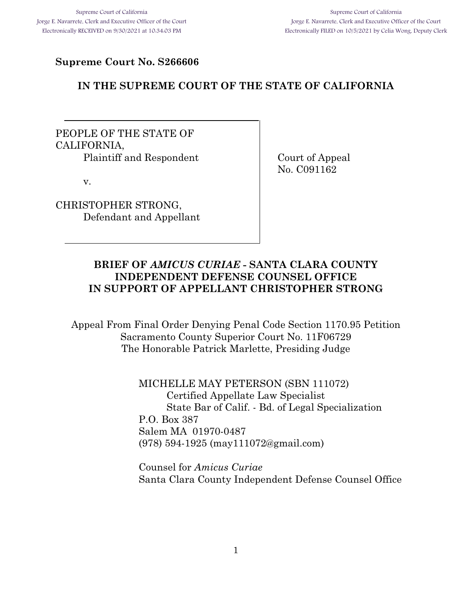## **Supreme Court No. S266606**

## **IN THE SUPREME COURT OF THE STATE OF CALIFORNIA**

PEOPLE OF THE STATE OF CALIFORNIA, Plaintiff and Respondent Court of Appeal

v.

CHRISTOPHER STRONG, Defendant and Appellant No. C091162

## **BRIEF OF** *AMICUS CURIAE* **- SANTA CLARA COUNTY INDEPENDENT DEFENSE COUNSEL OFFICE IN SUPPORT OF APPELLANT CHRISTOPHER STRONG**

Appeal From Final Order Denying Penal Code Section 1170.95 Petition Sacramento County Superior Court No. 11F06729 The Honorable Patrick Marlette, Presiding Judge

> MICHELLE MAY PETERSON (SBN 111072) Certified Appellate Law Specialist State Bar of Calif. - Bd. of Legal Specialization P.O. Box 387 Salem MA 01970-0487 (978) 594-1925 (may111072@gmail.com)

Counsel for *Amicus Curiae* Santa Clara County Independent Defense Counsel Office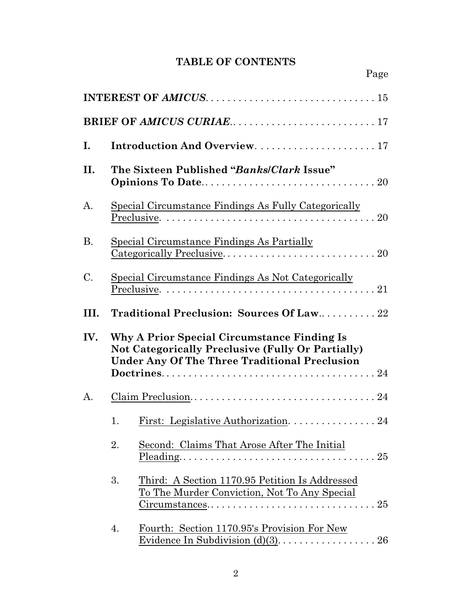## **TABLE OF CONTENTS**

| Ι.   | Introduction And Overview.  17                            |                                                                                                                                                                              |  |
|------|-----------------------------------------------------------|------------------------------------------------------------------------------------------------------------------------------------------------------------------------------|--|
| II.  |                                                           | The Sixteen Published "Banks/Clark Issue"                                                                                                                                    |  |
| A.   |                                                           | Special Circumstance Findings As Fully Categorically                                                                                                                         |  |
| В.   |                                                           | Special Circumstance Findings As Partially                                                                                                                                   |  |
| C.   | <u>Special Circumstance Findings As Not Categorically</u> |                                                                                                                                                                              |  |
| III. | Traditional Preclusion: Sources Of Law22                  |                                                                                                                                                                              |  |
| IV.  |                                                           | Why A Prior Special Circumstance Finding Is<br><b>Not Categorically Preclusive (Fully Or Partially)</b><br><b>Under Any Of The Three Traditional Preclusion</b>              |  |
| A.   |                                                           |                                                                                                                                                                              |  |
|      | 1.                                                        |                                                                                                                                                                              |  |
|      | 2.                                                        | Second: Claims That Arose After The Initial                                                                                                                                  |  |
|      | 3.                                                        | Third: A Section 1170.95 Petition Is Addressed<br>To The Murder Conviction, Not To Any Special<br>$Circumstances \ldots \ldots \ldots \ldots \ldots \ldots \ldots \ldots 25$ |  |
|      | 4.                                                        | Fourth: Section 1170.95's Provision For New                                                                                                                                  |  |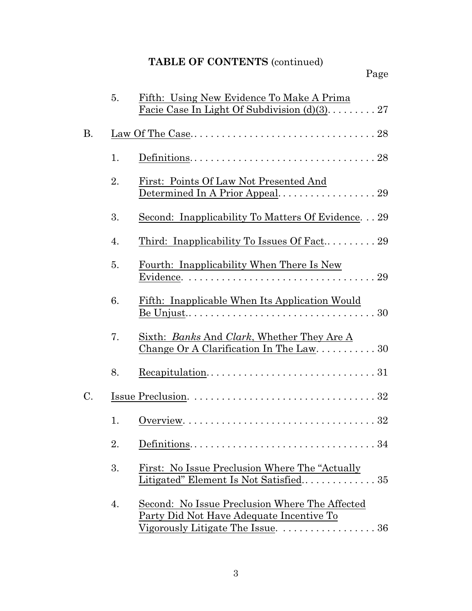# **TABLE OF CONTENTS** (continued)

|    | 5. | Fifth: Using New Evidence To Make A Prima<br>Facie Case In Light Of Subdivision $(d)(3)$ 27                                     |
|----|----|---------------------------------------------------------------------------------------------------------------------------------|
|    |    |                                                                                                                                 |
| В. |    |                                                                                                                                 |
|    | 1. |                                                                                                                                 |
|    | 2. | First: Points Of Law Not Presented And<br>Determined In A Prior Appeal 29                                                       |
|    | 3. | <u>Second: Inapplicability To Matters Of Evidence29</u>                                                                         |
|    | 4. |                                                                                                                                 |
|    | 5. | Fourth: Inapplicability When There Is New                                                                                       |
|    | 6. | Fifth: Inapplicable When Its Application Would                                                                                  |
|    | 7. | Sixth: <i>Banks</i> And <i>Clark</i> , Whether They Are A<br>Change Or A Clarification In The Law. $\dots \dots \dots 30$       |
|    | 8. | $Recapitulation. \ldots \ldots \ldots \ldots \ldots \ldots \ldots \ldots \ldots \ldots 31$                                      |
| C. |    |                                                                                                                                 |
|    | 1. |                                                                                                                                 |
|    | 2. |                                                                                                                                 |
|    | 3. | First: No Issue Preclusion Where The "Actually                                                                                  |
|    | 4. | Second: No Issue Preclusion Where The Affected<br>Party Did Not Have Adequate Incentive To<br>Vigorously Litigate The Issue. 36 |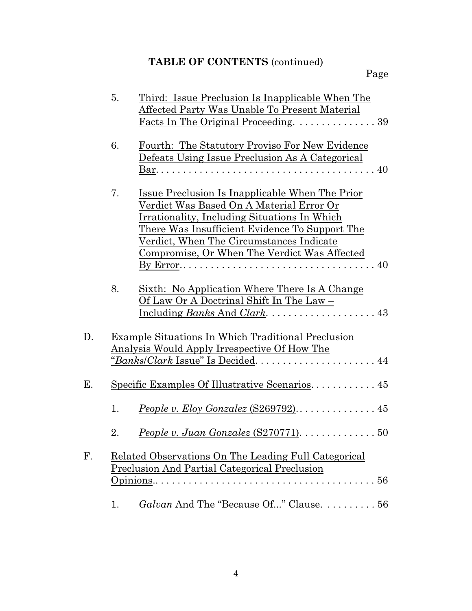# **TABLE OF CONTENTS** (continued)

|    | 5. | Third: Issue Preclusion Is Inapplicable When The                       |
|----|----|------------------------------------------------------------------------|
|    |    | Affected Party Was Unable To Present Material                          |
|    |    | Facts In The Original Proceeding. 39                                   |
|    | 6. | Fourth: The Statutory Proviso For New Evidence                         |
|    |    | Defeats Using Issue Preclusion As A Categorical                        |
|    |    |                                                                        |
|    |    |                                                                        |
|    | 7. | Issue Preclusion Is Inapplicable When The Prior                        |
|    |    | Verdict Was Based On A Material Error Or                               |
|    |    | Irrationality, Including Situations In Which                           |
|    |    | <u>There Was Insufficient Evidence To Support The</u>                  |
|    |    | Verdict, When The Circumstances Indicate                               |
|    |    | Compromise, Or When The Verdict Was Affected                           |
|    |    |                                                                        |
|    | 8. | Sixth: No Application Where There Is A Change                          |
|    |    | Of Law Or A Doctrinal Shift In The Law -                               |
|    |    |                                                                        |
|    |    |                                                                        |
| D. |    | <b>Example Situations In Which Traditional Preclusion</b>              |
|    |    | <u>Analysis Would Apply Irrespective Of How The</u>                    |
|    |    |                                                                        |
|    |    |                                                                        |
| Е. |    | Specific Examples Of Illustrative Scenarios 45                         |
|    |    |                                                                        |
|    | 1. | People v. Eloy Gonzalez (S269792) 45                                   |
|    |    |                                                                        |
|    | 2. | People v. Juan Gonzalez $(S270771)$ . $\ldots \ldots \ldots \ldots 50$ |
| F. |    | Related Observations On The Leading Full Categorical                   |
|    |    | <b>Preclusion And Partial Categorical Preclusion</b>                   |
|    |    | 56                                                                     |
|    |    |                                                                        |
|    | 1. | Galvan And The "Because Of" Clause. 56                                 |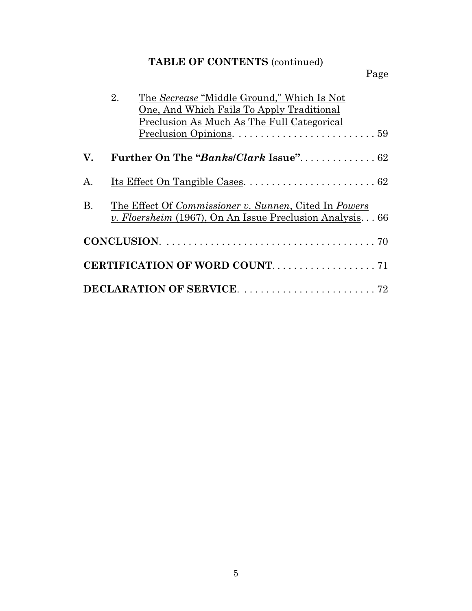# **TABLE OF CONTENTS** (continued)

# Page

|           | The Secrease "Middle Ground," Which Is Not<br>2.<br>One, And Which Fails To Apply Traditional                     |
|-----------|-------------------------------------------------------------------------------------------------------------------|
|           | Preclusion As Much As The Full Categorical                                                                        |
| V.        |                                                                                                                   |
| A.        |                                                                                                                   |
| <b>B.</b> | The Effect Of Commissioner v. Sunnen, Cited In Powers<br>v. Floersheim (1967), On An Issue Preclusion Analysis 66 |
|           |                                                                                                                   |
|           |                                                                                                                   |
|           |                                                                                                                   |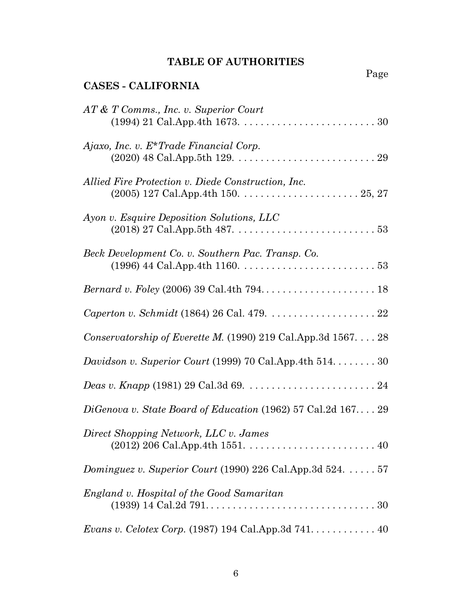## **TABLE OF AUTHORITIES**

Page

| <b>CASES - CALIFORNIA</b>                                                          |
|------------------------------------------------------------------------------------|
| AT & T Comms., Inc. v. Superior Court                                              |
| $A$ <i>jaxo</i> , <i>Inc.</i> v. $E^*$ <i>Trade Financial Corp.</i>                |
| Allied Fire Protection v. Diede Construction, Inc.                                 |
| Ayon v. Esquire Deposition Solutions, LLC                                          |
| Beck Development Co. v. Southern Pac. Transp. Co.                                  |
|                                                                                    |
|                                                                                    |
| Conservatorship of Everette M. (1990) 219 Cal.App.3d $1567. \ldots$ 28             |
| Davidson v. Superior Court (1999) 70 Cal.App.4th $514$ 30                          |
|                                                                                    |
| DiGenova v. State Board of Education (1962) 57 Cal.2d $167$ 29                     |
| Direct Shopping Network, LLC v. James                                              |
| Dominguez v. Superior Court (1990) 226 Cal.App.3d $524. \ldots . 57$               |
| England v. Hospital of the Good Samaritan                                          |
| <i>Evans v. Celotex Corp.</i> (1987) 194 Cal.App.3d $741. \ldots \ldots \ldots 40$ |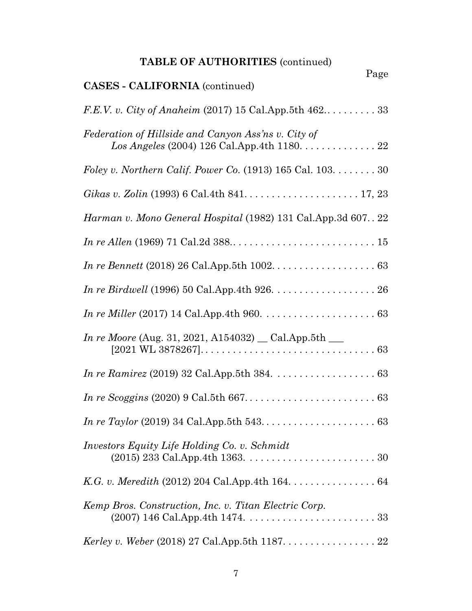| <b>TABLE OF AUTHORITIES (continued)</b>                                                                                            |
|------------------------------------------------------------------------------------------------------------------------------------|
| Page<br><b>CASES - CALIFORNIA</b> (continued)                                                                                      |
| F.E.V. v. City of Anaheim (2017) 15 Cal.App.5th 462 33                                                                             |
| Federation of Hillside and Canyon Ass'ns v. City of<br>$Los Angeles (2004) 126 Cal. App. 4th 1180. \ldots \ldots \ldots \ldots 22$ |
| Foley v. Northern Calif. Power Co. $(1913)$ 165 Cal. 103. 30                                                                       |
| Gikas v. Zolin (1993) 6 Cal.4th 841. $\dots \dots \dots \dots \dots \dots \dots \dots \dots 17, 23$                                |
| Harman v. Mono General Hospital (1982) 131 Cal.App.3d 607 22                                                                       |
|                                                                                                                                    |
|                                                                                                                                    |
|                                                                                                                                    |
|                                                                                                                                    |
| <i>In re Moore</i> (Aug. 31, 2021, A154032) $\_\_$ Cal.App.5th $\_\_$                                                              |
|                                                                                                                                    |
|                                                                                                                                    |
|                                                                                                                                    |
| <i>Investors Equity Life Holding Co. v. Schmidt</i>                                                                                |
|                                                                                                                                    |
| Kemp Bros. Construction, Inc. v. Titan Electric Corp.                                                                              |
| <i>Kerley v. Weber</i> (2018) 27 Cal.App.5th 1187. 22                                                                              |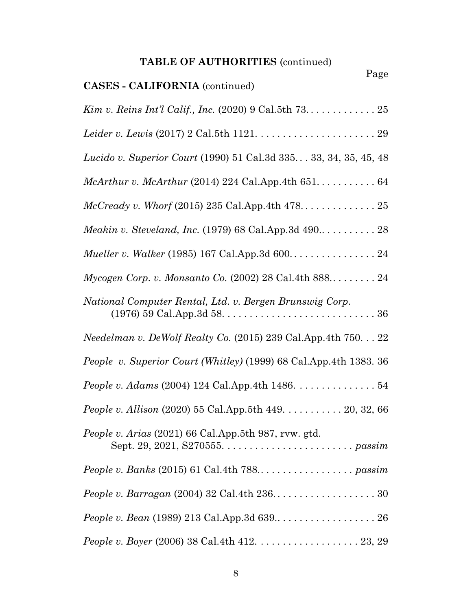| <b>TABLE OF AUTHORITIES (continued)</b><br>Page                                              |
|----------------------------------------------------------------------------------------------|
| <b>CASES - CALIFORNIA</b> (continued)                                                        |
|                                                                                              |
| Leider v. Lewis (2017) 2 Cal.5th 1121. $\ldots \ldots \ldots \ldots \ldots \ldots \ldots$ 29 |
| Lucido v. Superior Court (1990) 51 Cal.3d 335 33, 34, 35, 45, 48                             |
|                                                                                              |
| $McCready v. Whorf (2015) 235 Cal. App. 4th 478 \ldots 25$                                   |
| <i>Meakin v. Steveland, Inc.</i> (1979) 68 Cal.App.3d $490$ 28                               |
|                                                                                              |
| Mycogen Corp. v. Monsanto Co. $(2002)$ 28 Cal.4th 888 24                                     |
| National Computer Rental, Ltd. v. Bergen Brunswig Corp.                                      |
| Needelman v. DeWolf Realty Co. (2015) 239 Cal.App.4th 750. 22                                |
| People v. Superior Court (Whitley) (1999) 68 Cal.App.4th 1383. 36                            |
| <i>People v. Adams</i> (2004) 124 Cal.App.4th 1486. $\dots \dots \dots \dots \dots 54$       |
| <i>People v. Allison</i> (2020) 55 Cal.App.5th 449. 20, 32, 66                               |
| People v. Arias (2021) 66 Cal.App.5th 987, rvw. gtd.                                         |
|                                                                                              |
|                                                                                              |
|                                                                                              |
|                                                                                              |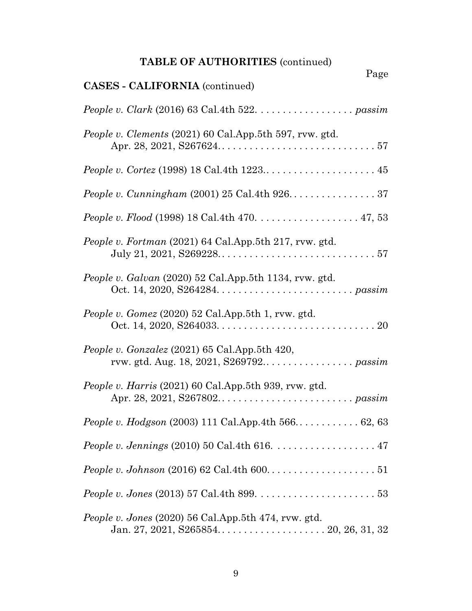# **TABLE OF AUTHORITIES** (continued)

| Page                                                                                            |
|-------------------------------------------------------------------------------------------------|
| <b>CASES - CALIFORNIA</b> (continued)                                                           |
|                                                                                                 |
| People v. Clements (2021) 60 Cal.App.5th 597, rvw. gtd.                                         |
|                                                                                                 |
|                                                                                                 |
| <i>People v. Flood</i> (1998) 18 Cal.4th 470. 47, 53                                            |
| People v. Fortman (2021) 64 Cal.App.5th 217, rvw. gtd.                                          |
| People v. Galvan (2020) 52 Cal.App.5th 1134, rvw. gtd.                                          |
| People v. Gomez $(2020)$ 52 Cal.App.5th 1, rvw. gtd.                                            |
| People v. Gonzalez $(2021)$ 65 Cal.App.5th 420,                                                 |
| People v. Harris (2021) 60 Cal.App.5th 939, rvw. gtd.                                           |
| People v. Hodgson (2003) 111 Cal.App.4th 566 62, 63                                             |
| <i>People v. Jennings</i> (2010) 50 Cal.4th 616. $\ldots \ldots \ldots \ldots \ldots \ldots 47$ |
|                                                                                                 |
|                                                                                                 |
| People v. Jones $(2020)$ 56 Cal.App.5th 474, rvw. gtd.                                          |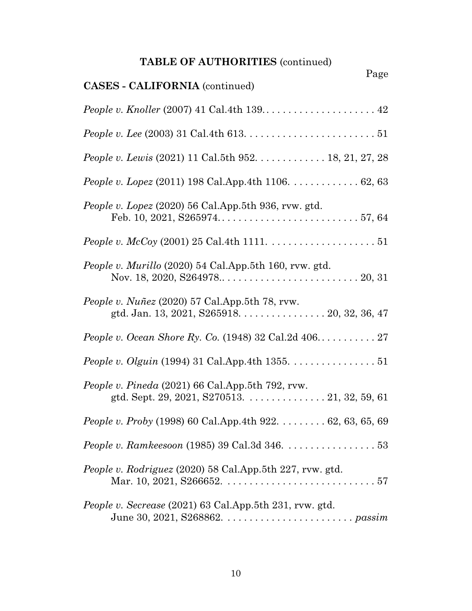# **TABLE OF AUTHORITIES** (continued)

| Page                                                                                                         |
|--------------------------------------------------------------------------------------------------------------|
| <b>CASES - CALIFORNIA</b> (continued)                                                                        |
| <i>People v. Knoller</i> (2007) 41 Cal.4th $139$ $\dots$ $\dots$ $\dots$ $\dots$ $\dots$ $42$                |
|                                                                                                              |
| <i>People v. Lewis</i> (2021) 11 Cal.5th 952. 18, 21, 27, 28                                                 |
| People v. Lopez (2011) 198 Cal.App.4th 1106. 62, 63                                                          |
| People v. Lopez (2020) 56 Cal.App.5th 936, rvw. gtd.                                                         |
| <i>People v. McCoy</i> (2001) 25 Cal.4th 1111. $\ldots \ldots \ldots \ldots \ldots \ldots 51$                |
| People v. Murillo (2020) 54 Cal.App.5th 160, rvw. gtd.                                                       |
| People v. Nuñez $(2020)$ 57 Cal. App. 5th 78, rvw.<br>gtd. Jan. 13, 2021, S265918. $\ldots$ . 20, 32, 36, 47 |
|                                                                                                              |
| People v. Olguin (1994) 31 Cal.App.4th 1355. 51                                                              |
| People v. Pineda (2021) 66 Cal.App.5th 792, rvw.                                                             |
| <i>People v. Proby</i> (1998) 60 Cal.App.4th 922. $\dots \dots 62, 63, 65, 69$                               |
| <i>People v. Ramkeesoon</i> (1985) 39 Cal.3d 346. $\ldots \ldots \ldots \ldots \ldots 53$                    |
| People v. Rodriguez (2020) 58 Cal.App.5th 227, rvw. gtd.                                                     |
| People v. Secrease (2021) 63 Cal.App.5th 231, rvw. gtd.                                                      |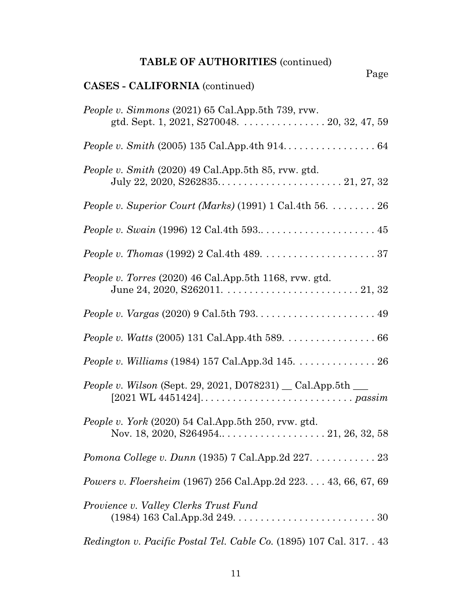# **TABLE OF AUTHORITIES** (continued)

| Page<br><b>CASES - CALIFORNIA</b> (continued)                                                                                                                                      |
|------------------------------------------------------------------------------------------------------------------------------------------------------------------------------------|
| People v. Simmons (2021) 65 Cal.App.5th 739, rvw.<br>gtd. Sept. 1, 2021, S270048. 20, 32, 47, 59                                                                                   |
|                                                                                                                                                                                    |
| People v. Smith (2020) 49 Cal.App.5th 85, rvw. gtd.                                                                                                                                |
| People v. Superior Court (Marks) $(1991)$ 1 Cal.4th 56.  26                                                                                                                        |
|                                                                                                                                                                                    |
|                                                                                                                                                                                    |
| People v. Torres (2020) 46 Cal.App.5th 1168, rvw. gtd.                                                                                                                             |
|                                                                                                                                                                                    |
| <i>People v. Watts</i> (2005) 131 Cal.App.4th 589. $\ldots \ldots \ldots \ldots \ldots 66$                                                                                         |
| People v. Williams (1984) 157 Cal.App.3d 145. 26                                                                                                                                   |
| <i>People v. Wilson</i> (Sept. 29, 2021, D078231) _ Cal.App.5th ___<br>$[2021 \,\text{WL } 4451424] \ldots \ldots \ldots \ldots \ldots \ldots \ldots \ldots \ldots \text{passim }$ |
| People v. York (2020) 54 Cal.App.5th 250, rvw. gtd.                                                                                                                                |
|                                                                                                                                                                                    |
| <i>Powers v. Floersheim</i> (1967) 256 Cal.App.2d 223. 43, 66, 67, 69                                                                                                              |
| Provience v. Valley Clerks Trust Fund                                                                                                                                              |
| <i>Redington v. Pacific Postal Tel. Cable Co.</i> (1895) 107 Cal. 317. . 43                                                                                                        |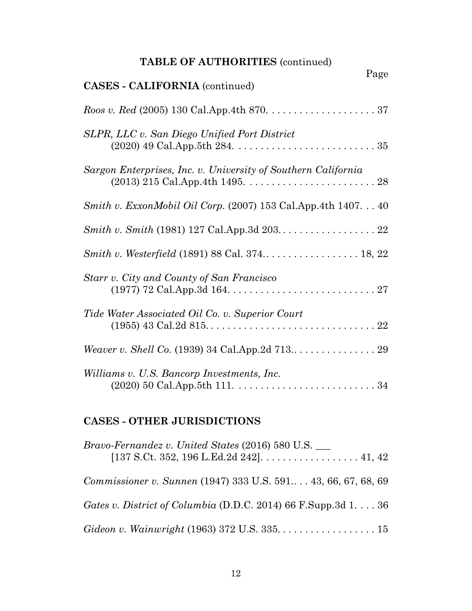|  |  |  |  | <b>TABLE OF AUTHORITIES (continued)</b> |
|--|--|--|--|-----------------------------------------|
|--|--|--|--|-----------------------------------------|

| Page<br><b>CASES - CALIFORNIA</b> (continued)                        |
|----------------------------------------------------------------------|
|                                                                      |
| SLPR, LLC v. San Diego Unified Port District                         |
| Sargon Enterprises, Inc. v. University of Southern California        |
| <i>Smith v. ExxonMobil Oil Corp.</i> $(2007)$ 153 Cal.App.4th 140740 |
|                                                                      |
| Smith v. Westerfield (1891) 88 Cal. 374 18, 22                       |
| Starr v. City and County of San Francisco                            |
| Tide Water Associated Oil Co. v. Superior Court                      |
|                                                                      |
| Williams v. U.S. Bancorp Investments, Inc.                           |

## **CASES - OTHER JURISDICTIONS**

| <i>Bravo-Fernandez v. United States (2016)</i> 580 U.S.                 |
|-------------------------------------------------------------------------|
| Commissioner v. Sunnen (1947) 333 U.S. 591 43, 66, 67, 68, 69           |
| Gates v. District of Columbia (D.D.C. 2014) 66 F.Supp.3d $1. \ldots 36$ |
|                                                                         |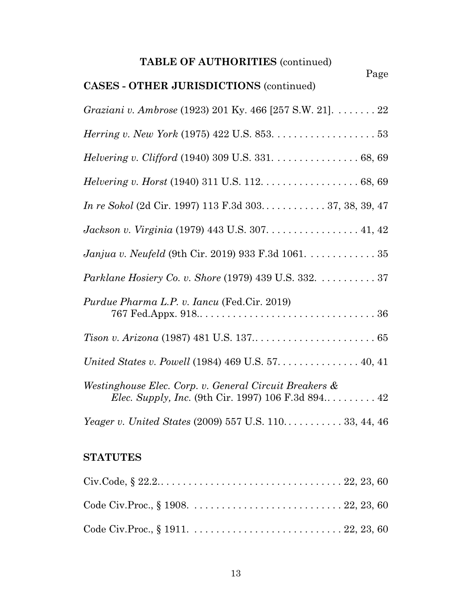| <b>TABLE OF AUTHORITIES (continued)</b>                                                                             |  |  |  |
|---------------------------------------------------------------------------------------------------------------------|--|--|--|
| Page<br><b>CASES - OTHER JURISDICTIONS (continued)</b>                                                              |  |  |  |
| Graziani v. Ambrose (1923) 201 Ky. 466 [257 S.W. 21]. 22                                                            |  |  |  |
|                                                                                                                     |  |  |  |
| Helvering v. Clifford (1940) 309 U.S. 331. 68, 69                                                                   |  |  |  |
| <i>Helvering v. Horst</i> (1940) 311 U.S. 112. $\dots \dots \dots \dots \dots \dots \dots 68, 69$                   |  |  |  |
| In re Sokol (2d Cir. 1997) 113 F.3d 303 37, 38, 39, 47                                                              |  |  |  |
| Jackson v. Virginia (1979) 443 U.S. 307. 41, 42                                                                     |  |  |  |
| <i>Janjua v. Neufeld</i> (9th Cir. 2019) 933 F.3d 1061. 35                                                          |  |  |  |
| <i>Parklane Hosiery Co. v. Shore</i> (1979) 439 U.S. 332. 37                                                        |  |  |  |
| <i>Purdue Pharma L.P. v. Iancu</i> (Fed.Cir. 2019)                                                                  |  |  |  |
|                                                                                                                     |  |  |  |
| United States v. Powell (1984) 469 U.S. 57. 40, 41                                                                  |  |  |  |
| Westinghouse Elec. Corp. v. General Circuit Breakers &<br><i>Elec. Supply, Inc.</i> (9th Cir. 1997) 106 F.3d 894 42 |  |  |  |
| <i>Yeager v. United States (2009) 557 U.S. 110</i> 33, 44, 46                                                       |  |  |  |

## **STATUTES**

| Civ.Code, $\S 22.2. \ldots \ldots \ldots \ldots \ldots \ldots \ldots \ldots \ldots \ldots \ldots \ldots \ldots 22, 23, 60$ |  |  |
|----------------------------------------------------------------------------------------------------------------------------|--|--|
|                                                                                                                            |  |  |
|                                                                                                                            |  |  |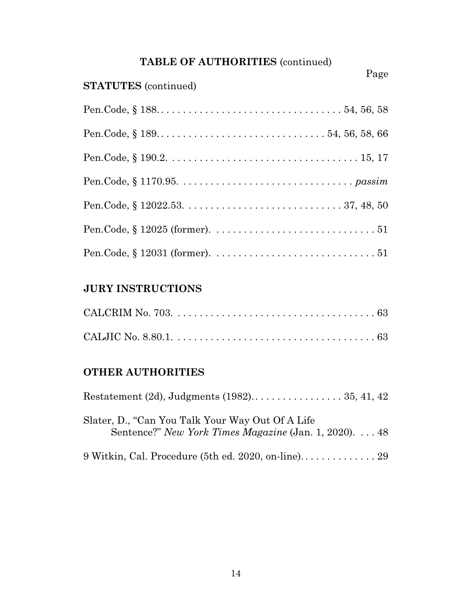| TABLE OF AUTHORITIES (continued) |  |
|----------------------------------|--|
|----------------------------------|--|

| <b>STATUTES</b> (continued) | Page |
|-----------------------------|------|
|                             |      |
|                             |      |
|                             |      |
|                             |      |
|                             |      |
|                             |      |
|                             |      |

## **JURY INSTRUCTIONS**

## **OTHER AUTHORITIES**

| Slater, D., "Can You Talk Your Way Out Of A Life"<br>Sentence?" New York Times Magazine (Jan. 1, 2020) 48 |  |  |
|-----------------------------------------------------------------------------------------------------------|--|--|
|                                                                                                           |  |  |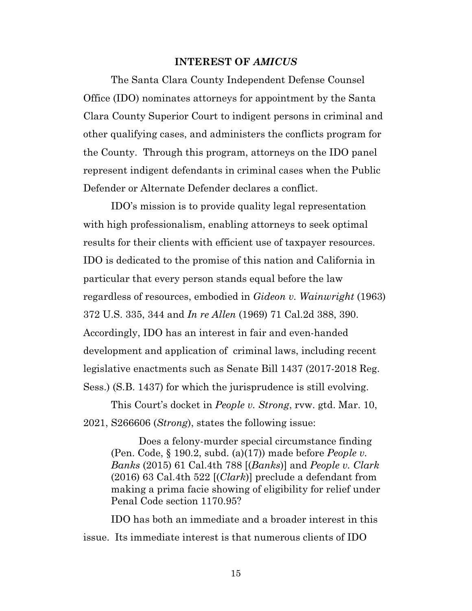#### **INTEREST OF** *AMICUS*

The Santa Clara County Independent Defense Counsel Office (IDO) nominates attorneys for appointment by the Santa Clara County Superior Court to indigent persons in criminal and other qualifying cases, and administers the conflicts program for the County. Through this program, attorneys on the IDO panel represent indigent defendants in criminal cases when the Public Defender or Alternate Defender declares a conflict.

IDO's mission is to provide quality legal representation with high professionalism, enabling attorneys to seek optimal results for their clients with efficient use of taxpayer resources. IDO is dedicated to the promise of this nation and California in particular that every person stands equal before the law regardless of resources, embodied in *Gideon v. Wainwright* (1963) 372 U.S. 335, 344 and *In re Allen* (1969) 71 Cal.2d 388, 390. Accordingly, IDO has an interest in fair and even-handed development and application of criminal laws, including recent legislative enactments such as Senate Bill 1437 (2017-2018 Reg. Sess.) (S.B. 1437) for which the jurisprudence is still evolving.

This Court's docket in *People v. Strong*, rvw. gtd. Mar. 10, 2021, S266606 (*Strong*), states the following issue:

Does a felony-murder special circumstance finding (Pen. Code, § 190.2, subd. (a)(17)) made before *People v. Banks* (2015) 61 Cal.4th 788 [(*Banks*)] and *People v. Clark* (2016) 63 Cal.4th 522 [(*Clark*)] preclude a defendant from making a prima facie showing of eligibility for relief under Penal Code section 1170.95?

IDO has both an immediate and a broader interest in this issue. Its immediate interest is that numerous clients of IDO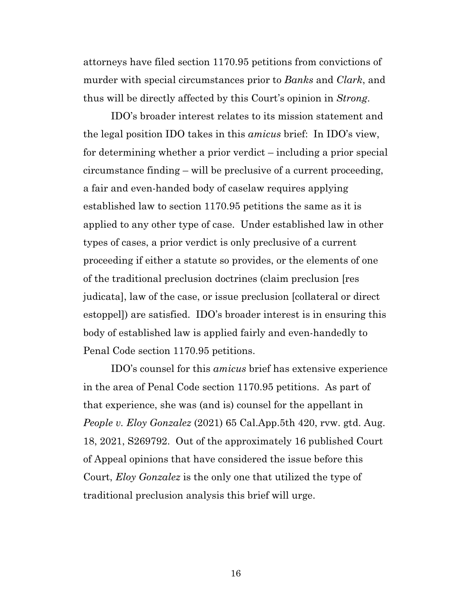attorneys have filed section 1170.95 petitions from convictions of murder with special circumstances prior to *Banks* and *Clark*, and thus will be directly affected by this Court's opinion in *Strong*.

IDO's broader interest relates to its mission statement and the legal position IDO takes in this *amicus* brief: In IDO's view, for determining whether a prior verdict – including a prior special circumstance finding – will be preclusive of a current proceeding, a fair and even-handed body of caselaw requires applying established law to section 1170.95 petitions the same as it is applied to any other type of case. Under established law in other types of cases, a prior verdict is only preclusive of a current proceeding if either a statute so provides, or the elements of one of the traditional preclusion doctrines (claim preclusion [res judicata], law of the case, or issue preclusion [collateral or direct estoppel]) are satisfied. IDO's broader interest is in ensuring this body of established law is applied fairly and even-handedly to Penal Code section 1170.95 petitions.

IDO's counsel for this *amicus* brief has extensive experience in the area of Penal Code section 1170.95 petitions. As part of that experience, she was (and is) counsel for the appellant in *People v. Eloy Gonzalez* (2021) 65 Cal.App.5th 420, rvw. gtd. Aug. 18, 2021, S269792. Out of the approximately 16 published Court of Appeal opinions that have considered the issue before this Court, *Eloy Gonzalez* is the only one that utilized the type of traditional preclusion analysis this brief will urge.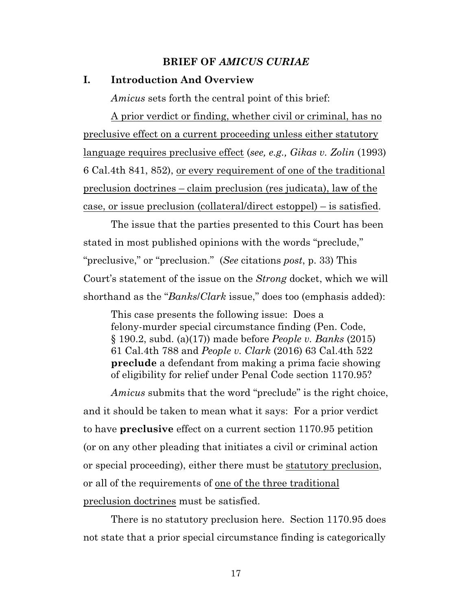### **BRIEF OF** *AMICUS CURIAE*

#### **I. Introduction And Overview**

*Amicus* sets forth the central point of this brief:

A prior verdict or finding, whether civil or criminal, has no preclusive effect on a current proceeding unless either statutory language requires preclusive effect (*see, e.g., Gikas v. Zolin* (1993) 6 Cal.4th 841, 852), or every requirement of one of the traditional preclusion doctrines – claim preclusion (res judicata), law of the case, or issue preclusion (collateral/direct estoppel) – is satisfied.

The issue that the parties presented to this Court has been stated in most published opinions with the words "preclude," "preclusive," or "preclusion." (*See* citations *post*, p. 33) This Court's statement of the issue on the *Strong* docket, which we will shorthand as the "*Banks*/*Clark* issue," does too (emphasis added):

This case presents the following issue: Does a felony-murder special circumstance finding (Pen. Code, § 190.2, subd. (a)(17)) made before *People v. Banks* (2015) 61 Cal.4th 788 and *People v. Clark* (2016) 63 Cal.4th 522 **preclude** a defendant from making a prima facie showing of eligibility for relief under Penal Code section 1170.95?

*Amicus* submits that the word "preclude" is the right choice, and it should be taken to mean what it says: For a prior verdict to have **preclusive** effect on a current section 1170.95 petition (or on any other pleading that initiates a civil or criminal action or special proceeding), either there must be statutory preclusion, or all of the requirements of one of the three traditional preclusion doctrines must be satisfied.

There is no statutory preclusion here. Section 1170.95 does not state that a prior special circumstance finding is categorically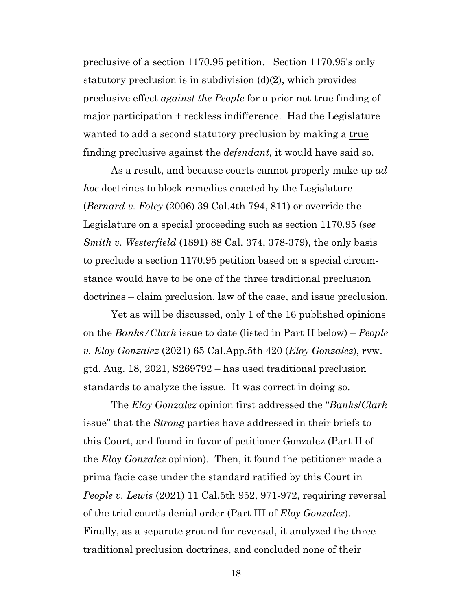preclusive of a section 1170.95 petition. Section 1170.95's only statutory preclusion is in subdivision (d)(2), which provides preclusive effect *against the People* for a prior not true finding of major participation + reckless indifference. Had the Legislature wanted to add a second statutory preclusion by making a true finding preclusive against the *defendant*, it would have said so.

As a result, and because courts cannot properly make up *ad hoc* doctrines to block remedies enacted by the Legislature (*Bernard v. Foley* (2006) 39 Cal.4th 794, 811) or override the Legislature on a special proceeding such as section 1170.95 (*see Smith v. Westerfield* (1891) 88 Cal. 374, 378-379), the only basis to preclude a section 1170.95 petition based on a special circumstance would have to be one of the three traditional preclusion doctrines – claim preclusion, law of the case, and issue preclusion.

Yet as will be discussed, only 1 of the 16 published opinions on the *Banks/Clark* issue to date (listed in Part II below) – *People v. Eloy Gonzalez* (2021) 65 Cal.App.5th 420 (*Eloy Gonzalez*), rvw. gtd. Aug. 18, 2021, S269792 – has used traditional preclusion standards to analyze the issue. It was correct in doing so.

The *Eloy Gonzalez* opinion first addressed the "*Banks*/*Clark* issue" that the *Strong* parties have addressed in their briefs to this Court, and found in favor of petitioner Gonzalez (Part II of the *Eloy Gonzalez* opinion). Then, it found the petitioner made a prima facie case under the standard ratified by this Court in *People v. Lewis* (2021) 11 Cal.5th 952, 971-972, requiring reversal of the trial court's denial order (Part III of *Eloy Gonzalez*). Finally, as a separate ground for reversal, it analyzed the three traditional preclusion doctrines, and concluded none of their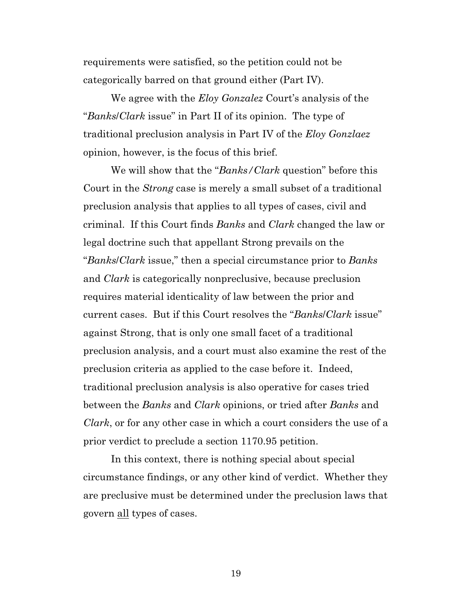requirements were satisfied, so the petition could not be categorically barred on that ground either (Part IV).

We agree with the *Eloy Gonzalez* Court's analysis of the "*Banks*/*Clark* issue" in Part II of its opinion. The type of traditional preclusion analysis in Part IV of the *Eloy Gonzlaez* opinion, however, is the focus of this brief.

We will show that the "*Banks/Clark* question" before this Court in the *Strong* case is merely a small subset of a traditional preclusion analysis that applies to all types of cases, civil and criminal. If this Court finds *Banks* and *Clark* changed the law or legal doctrine such that appellant Strong prevails on the "*Banks*/*Clark* issue," then a special circumstance prior to *Banks* and *Clark* is categorically nonpreclusive, because preclusion requires material identicality of law between the prior and current cases. But if this Court resolves the "*Banks*/*Clark* issue" against Strong, that is only one small facet of a traditional preclusion analysis, and a court must also examine the rest of the preclusion criteria as applied to the case before it. Indeed, traditional preclusion analysis is also operative for cases tried between the *Banks* and *Clark* opinions, or tried after *Banks* and *Clark*, or for any other case in which a court considers the use of a prior verdict to preclude a section 1170.95 petition.

In this context, there is nothing special about special circumstance findings, or any other kind of verdict. Whether they are preclusive must be determined under the preclusion laws that govern all types of cases.

19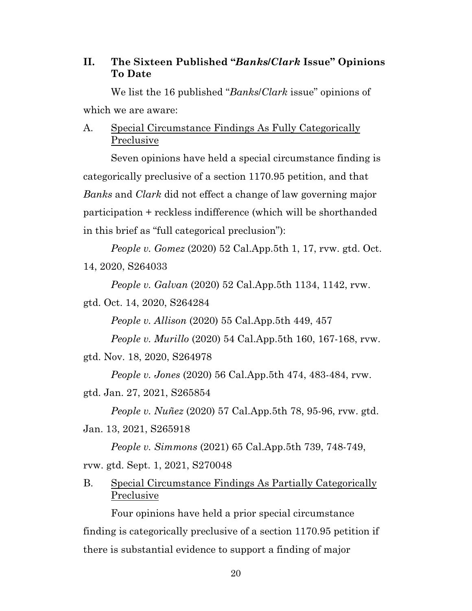### **II. The Sixteen Published "***Banks***/***Clark* **Issue" Opinions To Date**

We list the 16 published "*Banks*/*Clark* issue" opinions of which we are aware:

## A. Special Circumstance Findings As Fully Categorically Preclusive

Seven opinions have held a special circumstance finding is categorically preclusive of a section 1170.95 petition, and that *Banks* and *Clark* did not effect a change of law governing major participation + reckless indifference (which will be shorthanded in this brief as "full categorical preclusion"):

*People v. Gomez* (2020) 52 Cal.App.5th 1, 17, rvw. gtd. Oct. 14, 2020, S264033

*People v. Galvan* (2020) 52 Cal.App.5th 1134, 1142, rvw.

gtd. Oct. 14, 2020, S264284

*People v. Allison* (2020) 55 Cal.App.5th 449, 457

*People v. Murillo* (2020) 54 Cal.App.5th 160, 167-168, rvw.

gtd. Nov. 18, 2020, S264978

*People v. Jones* (2020) 56 Cal.App.5th 474, 483-484, rvw.

gtd. Jan. 27, 2021, S265854

*People v. Nuñez* (2020) 57 Cal.App.5th 78, 95-96, rvw. gtd. Jan. 13, 2021, S265918

*People v. Simmons* (2021) 65 Cal.App.5th 739, 748-749, rvw. gtd. Sept. 1, 2021, S270048

## B. Special Circumstance Findings As Partially Categorically Preclusive

Four opinions have held a prior special circumstance finding is categorically preclusive of a section 1170.95 petition if there is substantial evidence to support a finding of major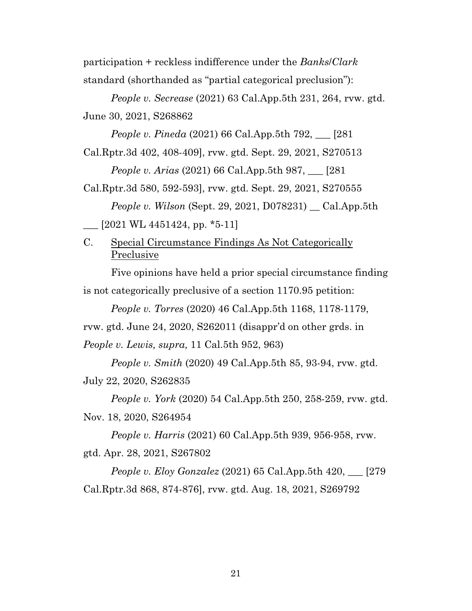participation + reckless indifference under the *Banks*/*Clark* standard (shorthanded as "partial categorical preclusion"):

*People v. Secrease* (2021) 63 Cal.App.5th 231, 264, rvw. gtd. June 30, 2021, S268862

*People v. Pineda* (2021) 66 Cal.App.5th 792, \_\_\_ [281

Cal.Rptr.3d 402, 408-409], rvw. gtd. Sept. 29, 2021, S270513 *People v. Arias* (2021) 66 Cal.App.5th 987, \_\_\_ [281

Cal.Rptr.3d 580, 592-593], rvw. gtd. Sept. 29, 2021, S270555 *People v. Wilson* (Sept. 29, 2021, D078231) \_\_ Cal.App.5th  $\sim$  [2021 WL 4451424, pp. \*5-11]

C. Special Circumstance Findings As Not Categorically Preclusive

Five opinions have held a prior special circumstance finding is not categorically preclusive of a section 1170.95 petition:

*People v. Torres* (2020) 46 Cal.App.5th 1168, 1178-1179,

rvw. gtd. June 24, 2020, S262011 (disappr'd on other grds. in *People v. Lewis, supra,* 11 Cal.5th 952, 963)

*People v. Smith* (2020) 49 Cal.App.5th 85, 93-94, rvw. gtd. July 22, 2020, S262835

*People v. York* (2020) 54 Cal.App.5th 250, 258-259, rvw. gtd. Nov. 18, 2020, S264954

*People v. Harris* (2021) 60 Cal.App.5th 939, 956-958, rvw. gtd. Apr. 28, 2021, S267802

*People v. Eloy Gonzalez* (2021) 65 Cal.App.5th 420, \_\_\_ [279 Cal.Rptr.3d 868, 874-876], rvw. gtd. Aug. 18, 2021, S269792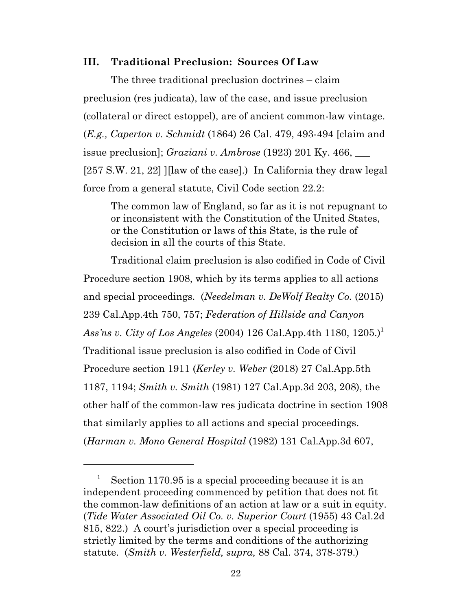### **III. Traditional Preclusion: Sources Of Law**

The three traditional preclusion doctrines – claim preclusion (res judicata), law of the case, and issue preclusion (collateral or direct estoppel), are of ancient common-law vintage. (*E.g., Caperton v. Schmidt* (1864) 26 Cal. 479, 493-494 [claim and issue preclusion]; *Graziani v. Ambrose* (1923) 201 Ky. 466, \_\_\_ [257 S.W. 21, 22] ][law of the case].) In California they draw legal force from a general statute, Civil Code section 22.2:

The common law of England, so far as it is not repugnant to or inconsistent with the Constitution of the United States, or the Constitution or laws of this State, is the rule of decision in all the courts of this State.

Traditional claim preclusion is also codified in Code of Civil Procedure section 1908, which by its terms applies to all actions and special proceedings. (*Needelman v. DeWolf Realty Co.* (2015) 239 Cal.App.4th 750, 757; *Federation of Hillside and Canyon Ass'ns v. City of Los Angeles* (2004) 126 Cal.App.4th 1180, 1205.)<sup>1</sup> Traditional issue preclusion is also codified in Code of Civil Procedure section 1911 (*Kerley v. Weber* (2018) 27 Cal.App.5th 1187, 1194; *Smith v. Smith* (1981) 127 Cal.App.3d 203, 208), the other half of the common-law res judicata doctrine in section 1908 that similarly applies to all actions and special proceedings. (*Harman v. Mono General Hospital* (1982) 131 Cal.App.3d 607,

<sup>&</sup>lt;sup>1</sup> Section 1170.95 is a special proceeding because it is an independent proceeding commenced by petition that does not fit the common-law definitions of an action at law or a suit in equity. (*Tide Water Associated Oil Co. v. Superior Court* (1955) 43 Cal.2d 815, 822.) A court's jurisdiction over a special proceeding is strictly limited by the terms and conditions of the authorizing statute. (*Smith v. Westerfield, supra,* 88 Cal. 374, 378-379.)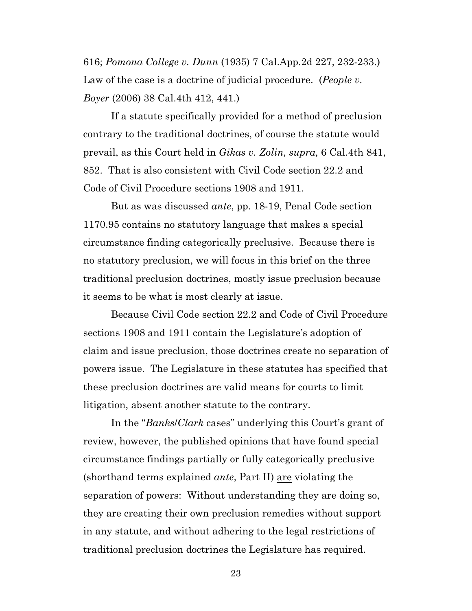616; *Pomona College v. Dunn* (1935) 7 Cal.App.2d 227, 232-233.) Law of the case is a doctrine of judicial procedure. (*People v. Boyer* (2006) 38 Cal.4th 412, 441.)

If a statute specifically provided for a method of preclusion contrary to the traditional doctrines, of course the statute would prevail, as this Court held in *Gikas v. Zolin, supra,* 6 Cal.4th 841, 852. That is also consistent with Civil Code section 22.2 and Code of Civil Procedure sections 1908 and 1911.

But as was discussed *ante*, pp. 18-19, Penal Code section 1170.95 contains no statutory language that makes a special circumstance finding categorically preclusive. Because there is no statutory preclusion, we will focus in this brief on the three traditional preclusion doctrines, mostly issue preclusion because it seems to be what is most clearly at issue.

Because Civil Code section 22.2 and Code of Civil Procedure sections 1908 and 1911 contain the Legislature's adoption of claim and issue preclusion, those doctrines create no separation of powers issue. The Legislature in these statutes has specified that these preclusion doctrines are valid means for courts to limit litigation, absent another statute to the contrary.

In the "*Banks*/*Clark* cases" underlying this Court's grant of review, however, the published opinions that have found special circumstance findings partially or fully categorically preclusive (shorthand terms explained *ante*, Part II) are violating the separation of powers: Without understanding they are doing so, they are creating their own preclusion remedies without support in any statute, and without adhering to the legal restrictions of traditional preclusion doctrines the Legislature has required.

23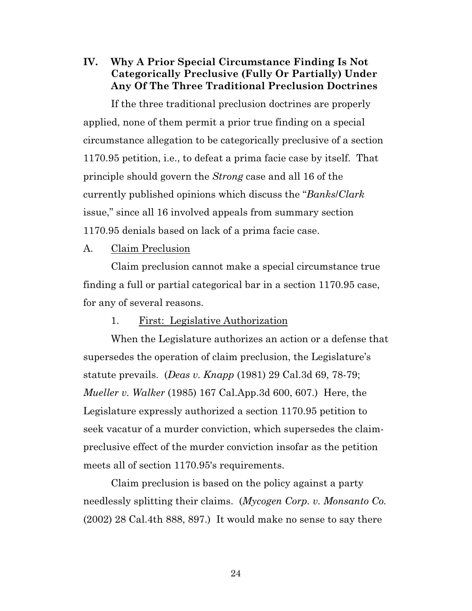**IV. Why A Prior Special Circumstance Finding Is Not Categorically Preclusive (Fully Or Partially) Under Any Of The Three Traditional Preclusion Doctrines**

If the three traditional preclusion doctrines are properly applied, none of them permit a prior true finding on a special circumstance allegation to be categorically preclusive of a section 1170.95 petition, i.e., to defeat a prima facie case by itself. That principle should govern the *Strong* case and all 16 of the currently published opinions which discuss the "*Banks*/*Clark* issue," since all 16 involved appeals from summary section 1170.95 denials based on lack of a prima facie case.

### A. Claim Preclusion

Claim preclusion cannot make a special circumstance true finding a full or partial categorical bar in a section 1170.95 case, for any of several reasons.

### 1. First: Legislative Authorization

When the Legislature authorizes an action or a defense that supersedes the operation of claim preclusion, the Legislature's statute prevails. (*Deas v. Knapp* (1981) 29 Cal.3d 69, 78-79; *Mueller v. Walker* (1985) 167 Cal.App.3d 600, 607.) Here, the Legislature expressly authorized a section 1170.95 petition to seek vacatur of a murder conviction, which supersedes the claimpreclusive effect of the murder conviction insofar as the petition meets all of section 1170.95's requirements.

Claim preclusion is based on the policy against a party needlessly splitting their claims. (*Mycogen Corp. v. Monsanto Co.* (2002) 28 Cal.4th 888, 897.) It would make no sense to say there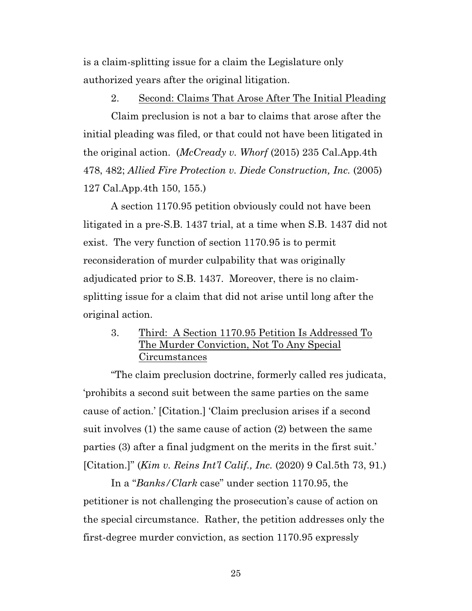is a claim-splitting issue for a claim the Legislature only authorized years after the original litigation.

### 2. Second: Claims That Arose After The Initial Pleading

Claim preclusion is not a bar to claims that arose after the initial pleading was filed, or that could not have been litigated in the original action. (*McCready v. Whorf* (2015) 235 Cal.App.4th 478, 482; *Allied Fire Protection v. Diede Construction, Inc.* (2005) 127 Cal.App.4th 150, 155.)

A section 1170.95 petition obviously could not have been litigated in a pre-S.B. 1437 trial, at a time when S.B. 1437 did not exist. The very function of section 1170.95 is to permit reconsideration of murder culpability that was originally adjudicated prior to S.B. 1437. Moreover, there is no claimsplitting issue for a claim that did not arise until long after the original action.

## 3. Third: A Section 1170.95 Petition Is Addressed To The Murder Conviction, Not To Any Special Circumstances

"The claim preclusion doctrine, formerly called res judicata, 'prohibits a second suit between the same parties on the same cause of action.' [Citation.] 'Claim preclusion arises if a second suit involves (1) the same cause of action (2) between the same parties (3) after a final judgment on the merits in the first suit.' [Citation.]" (*Kim v. Reins Int'l Calif., Inc.* (2020) 9 Cal.5th 73, 91.)

In a "*Banks/Clark* case" under section 1170.95, the petitioner is not challenging the prosecution's cause of action on the special circumstance. Rather, the petition addresses only the first-degree murder conviction, as section 1170.95 expressly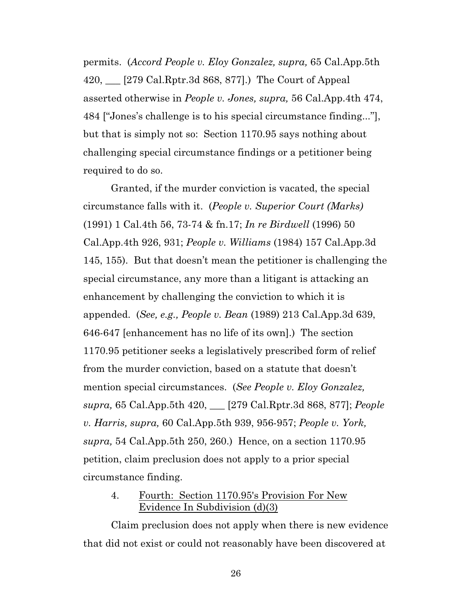permits. (*Accord People v. Eloy Gonzalez, supra,* 65 Cal.App.5th 420, \_\_\_ [279 Cal.Rptr.3d 868, 877].) The Court of Appeal asserted otherwise in *People v. Jones, supra,* 56 Cal.App.4th 474, 484 ["Jones's challenge is to his special circumstance finding..."], but that is simply not so: Section 1170.95 says nothing about challenging special circumstance findings or a petitioner being required to do so.

Granted, if the murder conviction is vacated, the special circumstance falls with it. (*People v. Superior Court (Marks)* (1991) 1 Cal.4th 56, 73-74 & fn.17; *In re Birdwell* (1996) 50 Cal.App.4th 926, 931; *People v. Williams* (1984) 157 Cal.App.3d 145, 155). But that doesn't mean the petitioner is challenging the special circumstance, any more than a litigant is attacking an enhancement by challenging the conviction to which it is appended. (*See, e.g., People v. Bean* (1989) 213 Cal.App.3d 639, 646-647 [enhancement has no life of its own].) The section 1170.95 petitioner seeks a legislatively prescribed form of relief from the murder conviction, based on a statute that doesn't mention special circumstances. (*See People v. Eloy Gonzalez, supra,* 65 Cal.App.5th 420, \_\_\_ [279 Cal.Rptr.3d 868, 877]; *People v. Harris, supra,* 60 Cal.App.5th 939, 956-957; *People v. York, supra,* 54 Cal.App.5th 250, 260.) Hence, on a section 1170.95 petition, claim preclusion does not apply to a prior special circumstance finding.

### 4. Fourth: Section 1170.95's Provision For New Evidence In Subdivision (d)(3)

Claim preclusion does not apply when there is new evidence that did not exist or could not reasonably have been discovered at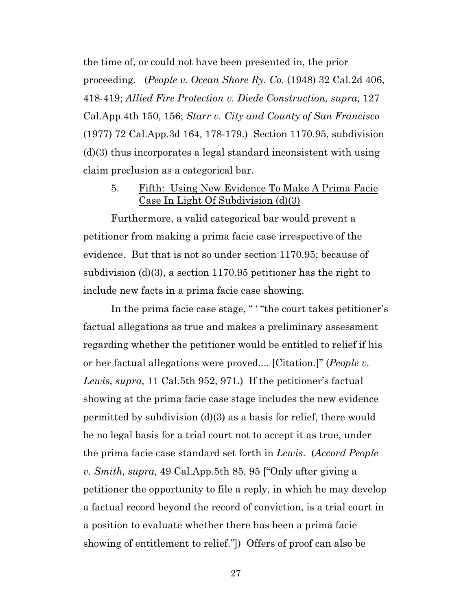the time of, or could not have been presented in, the prior proceeding. (*People v. Ocean Shore Ry. Co.* (1948) 32 Cal.2d 406, 418-419; *Allied Fire Protection v. Diede Construction, supra,* 127 Cal.App.4th 150, 156; *Starr v. City and County of San Francisco* (1977) 72 Cal.App.3d 164, 178-179.) Section 1170.95, subdivision (d)(3) thus incorporates a legal standard inconsistent with using claim preclusion as a categorical bar.

5. Fifth: Using New Evidence To Make A Prima Facie Case In Light Of Subdivision (d)(3)

Furthermore, a valid categorical bar would prevent a petitioner from making a prima facie case irrespective of the evidence. But that is not so under section 1170.95; because of subdivision (d)(3), a section 1170.95 petitioner has the right to include new facts in a prima facie case showing.

In the prima facie case stage, " ' "the court takes petitioner's factual allegations as true and makes a preliminary assessment regarding whether the petitioner would be entitled to relief if his or her factual allegations were proved.... [Citation.]" (*People v. Lewis, supra,* 11 Cal.5th 952, 971.) If the petitioner's factual showing at the prima facie case stage includes the new evidence permitted by subdivision (d)(3) as a basis for relief, there would be no legal basis for a trial court not to accept it as true, under the prima facie case standard set forth in *Lewis*. (*Accord People v. Smith, supra,* 49 Cal.App.5th 85, 95 ["Only after giving a petitioner the opportunity to file a reply, in which he may develop a factual record beyond the record of conviction, is a trial court in a position to evaluate whether there has been a prima facie showing of entitlement to relief."]) Offers of proof can also be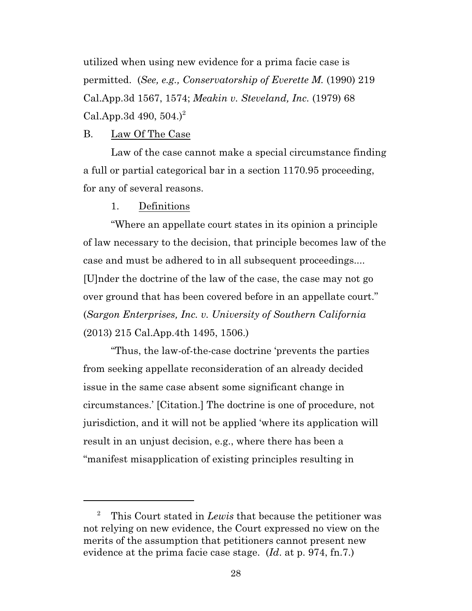utilized when using new evidence for a prima facie case is permitted. (*See, e.g., Conservatorship of Everette M.* (1990) 219 Cal.App.3d 1567, 1574; *Meakin v. Steveland, Inc.* (1979) 68 Cal.App.3d 490,  $504.$ <sup>2</sup>

#### B. Law Of The Case

Law of the case cannot make a special circumstance finding a full or partial categorical bar in a section 1170.95 proceeding, for any of several reasons.

#### 1. Definitions

"Where an appellate court states in its opinion a principle of law necessary to the decision, that principle becomes law of the case and must be adhered to in all subsequent proceedings.... [U]nder the doctrine of the law of the case, the case may not go over ground that has been covered before in an appellate court." (*Sargon Enterprises, Inc. v. University of Southern California* (2013) 215 Cal.App.4th 1495, 1506.)

"Thus, the law-of-the-case doctrine 'prevents the parties from seeking appellate reconsideration of an already decided issue in the same case absent some significant change in circumstances.' [Citation.] The doctrine is one of procedure, not jurisdiction, and it will not be applied 'where its application will result in an unjust decision, e.g., where there has been a "manifest misapplication of existing principles resulting in

<sup>2</sup> This Court stated in *Lewis* that because the petitioner was not relying on new evidence, the Court expressed no view on the merits of the assumption that petitioners cannot present new evidence at the prima facie case stage. (*Id*. at p. 974, fn.7.)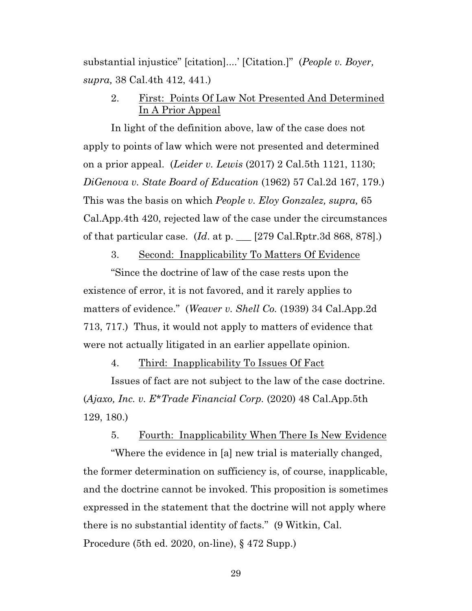substantial injustice" [citation]....' [Citation.]" (*People v. Boyer, supra,* 38 Cal.4th 412, 441.)

## 2. First: Points Of Law Not Presented And Determined In A Prior Appeal

In light of the definition above, law of the case does not apply to points of law which were not presented and determined on a prior appeal. (*Leider v. Lewis* (2017) 2 Cal.5th 1121, 1130; *DiGenova v. State Board of Education* (1962) 57 Cal.2d 167, 179.) This was the basis on which *People v. Eloy Gonzalez, supra,* 65 Cal.App.4th 420, rejected law of the case under the circumstances of that particular case. (*Id*. at p. \_\_\_ [279 Cal.Rptr.3d 868, 878].)

3. Second: Inapplicability To Matters Of Evidence

"Since the doctrine of law of the case rests upon the existence of error, it is not favored, and it rarely applies to matters of evidence." (*Weaver v. Shell Co.* (1939) 34 Cal.App.2d 713, 717.) Thus, it would not apply to matters of evidence that were not actually litigated in an earlier appellate opinion.

4. Third: Inapplicability To Issues Of Fact

Issues of fact are not subject to the law of the case doctrine. (*Ajaxo, Inc. v. E\*Trade Financial Corp.* (2020) 48 Cal.App.5th 129, 180.)

5. Fourth: Inapplicability When There Is New Evidence

"Where the evidence in [a] new trial is materially changed, the former determination on sufficiency is, of course, inapplicable, and the doctrine cannot be invoked. This proposition is sometimes expressed in the statement that the doctrine will not apply where there is no substantial identity of facts." (9 Witkin, Cal. Procedure (5th ed. 2020, on-line), § 472 Supp.)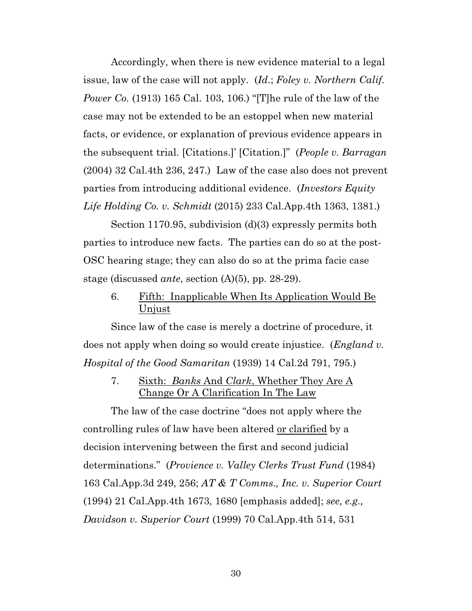Accordingly, when there is new evidence material to a legal issue, law of the case will not apply. (*Id*.; *Foley v. Northern Calif. Power Co.* (1913) 165 Cal. 103, 106.) "[T]he rule of the law of the case may not be extended to be an estoppel when new material facts, or evidence, or explanation of previous evidence appears in the subsequent trial. [Citations.]' [Citation.]" (*People v. Barragan* (2004) 32 Cal.4th 236, 247.) Law of the case also does not prevent parties from introducing additional evidence. (*Investors Equity Life Holding Co. v. Schmidt* (2015) 233 Cal.App.4th 1363, 1381.)

Section 1170.95, subdivision (d)(3) expressly permits both parties to introduce new facts. The parties can do so at the post-OSC hearing stage; they can also do so at the prima facie case stage (discussed *ante*, section (A)(5), pp. 28-29).

### 6. Fifth: Inapplicable When Its Application Would Be Unjust

Since law of the case is merely a doctrine of procedure, it does not apply when doing so would create injustice. (*England v. Hospital of the Good Samaritan* (1939) 14 Cal.2d 791, 795.)

7. Sixth: *Banks* And *Clark*, Whether They Are A Change Or A Clarification In The Law

The law of the case doctrine "does not apply where the controlling rules of law have been altered or clarified by a decision intervening between the first and second judicial determinations." (*Provience v. Valley Clerks Trust Fund* (1984) 163 Cal.App.3d 249, 256; *AT & T Comms., Inc. v. Superior Court* (1994) 21 Cal.App.4th 1673, 1680 [emphasis added]; *see, e.g., Davidson v. Superior Court* (1999) 70 Cal.App.4th 514, 531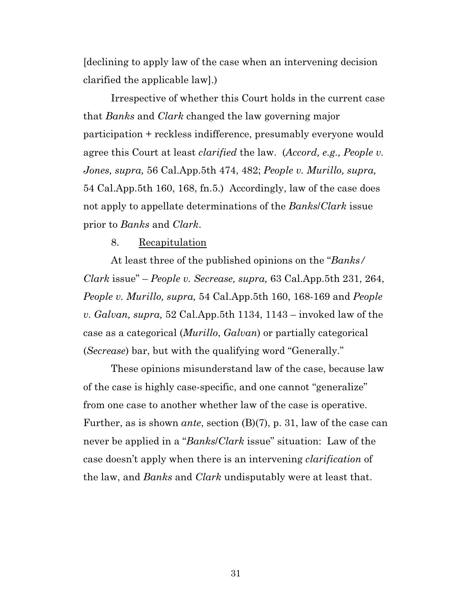[declining to apply law of the case when an intervening decision clarified the applicable law].)

Irrespective of whether this Court holds in the current case that *Banks* and *Clark* changed the law governing major participation + reckless indifference, presumably everyone would agree this Court at least *clarified* the law. (*Accord, e.g., People v. Jones, supra,* 56 Cal.App.5th 474, 482; *People v. Murillo, supra,* 54 Cal.App.5th 160, 168, fn.5.) Accordingly, law of the case does not apply to appellate determinations of the *Banks*/*Clark* issue prior to *Banks* and *Clark*.

#### 8. Recapitulation

At least three of the published opinions on the "*Banks/ Clark* issue" – *People v. Secrease, supra,* 63 Cal.App.5th 231, 264, *People v. Murillo, supra,* 54 Cal.App.5th 160, 168-169 and *People v. Galvan, supra,* 52 Cal.App.5th 1134, 1143 – invoked law of the case as a categorical (*Murillo*, *Galvan*) or partially categorical (*Secrease*) bar, but with the qualifying word "Generally."

These opinions misunderstand law of the case, because law of the case is highly case-specific, and one cannot "generalize" from one case to another whether law of the case is operative. Further, as is shown *ante*, section (B)(7), p. 31, law of the case can never be applied in a "*Banks*/*Clark* issue" situation: Law of the case doesn't apply when there is an intervening *clarification* of the law, and *Banks* and *Clark* undisputably were at least that.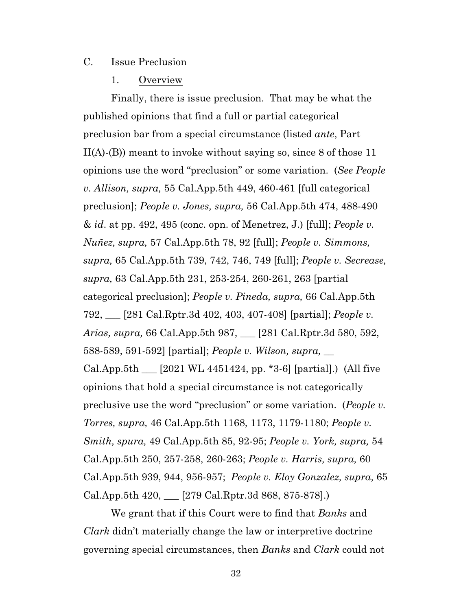#### C. Issue Preclusion

#### 1. Overview

Finally, there is issue preclusion. That may be what the published opinions that find a full or partial categorical preclusion bar from a special circumstance (listed *ante*, Part  $II(A)$ - $(B)$ ) meant to invoke without saying so, since 8 of those 11 opinions use the word "preclusion" or some variation. (*See People v. Allison, supra,* 55 Cal.App.5th 449, 460-461 [full categorical preclusion]; *People v. Jones, supra,* 56 Cal.App.5th 474, 488-490 & *id*. at pp. 492, 495 (conc. opn. of Menetrez, J.) [full]; *People v. Nuñez, supra,* 57 Cal.App.5th 78, 92 [full]; *People v. Simmons, supra,* 65 Cal.App.5th 739, 742, 746, 749 [full]; *People v. Secrease, supra,* 63 Cal.App.5th 231, 253-254, 260-261, 263 [partial categorical preclusion]; *People v. Pineda, supra,* 66 Cal.App.5th 792, \_\_\_ [281 Cal.Rptr.3d 402, 403, 407-408] [partial]; *People v. Arias, supra,* 66 Cal.App.5th 987, \_\_\_ [281 Cal.Rptr.3d 580, 592, 588-589, 591-592] [partial]; *People v. Wilson, supra,* \_\_ Cal.App.5th  $\_\$  [2021 WL 4451424, pp. \*3-6] [partial].) (All five opinions that hold a special circumstance is not categorically preclusive use the word "preclusion" or some variation. (*People v. Torres, supra,* 46 Cal.App.5th 1168, 1173, 1179-1180; *People v. Smith, spura,* 49 Cal.App.5th 85, 92-95; *People v. York, supra,* 54 Cal.App.5th 250, 257-258, 260-263; *People v. Harris, supra,* 60 Cal.App.5th 939, 944, 956-957; *People v. Eloy Gonzalez, supra,* 65 Cal.App.5th 420, \_\_\_ [279 Cal.Rptr.3d 868, 875-878].)

We grant that if this Court were to find that *Banks* and *Clark* didn't materially change the law or interpretive doctrine governing special circumstances, then *Banks* and *Clark* could not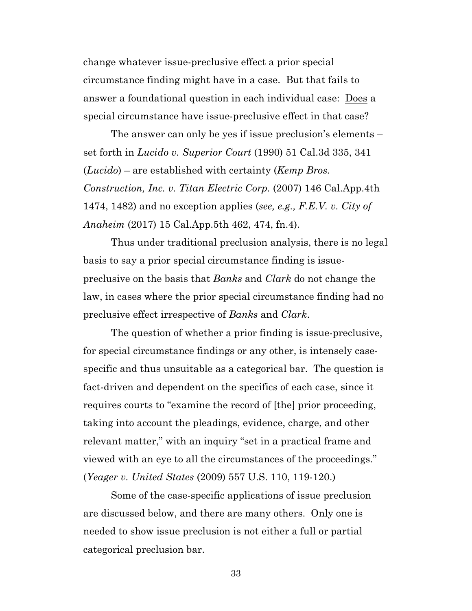change whatever issue-preclusive effect a prior special circumstance finding might have in a case. But that fails to answer a foundational question in each individual case: Does a special circumstance have issue-preclusive effect in that case?

The answer can only be yes if issue preclusion's elements – set forth in *Lucido v. Superior Court* (1990) 51 Cal.3d 335, 341 (*Lucido*) – are established with certainty (*Kemp Bros. Construction, Inc. v. Titan Electric Corp.* (2007) 146 Cal.App.4th 1474, 1482) and no exception applies (*see, e.g., F.E.V. v. City of Anaheim* (2017) 15 Cal.App.5th 462, 474, fn.4).

Thus under traditional preclusion analysis, there is no legal basis to say a prior special circumstance finding is issuepreclusive on the basis that *Banks* and *Clark* do not change the law, in cases where the prior special circumstance finding had no preclusive effect irrespective of *Banks* and *Clark*.

The question of whether a prior finding is issue-preclusive, for special circumstance findings or any other, is intensely casespecific and thus unsuitable as a categorical bar. The question is fact-driven and dependent on the specifics of each case, since it requires courts to "examine the record of [the] prior proceeding, taking into account the pleadings, evidence, charge, and other relevant matter," with an inquiry "set in a practical frame and viewed with an eye to all the circumstances of the proceedings." (*Yeager v. United States* (2009) 557 U.S. 110, 119-120.)

Some of the case-specific applications of issue preclusion are discussed below, and there are many others. Only one is needed to show issue preclusion is not either a full or partial categorical preclusion bar.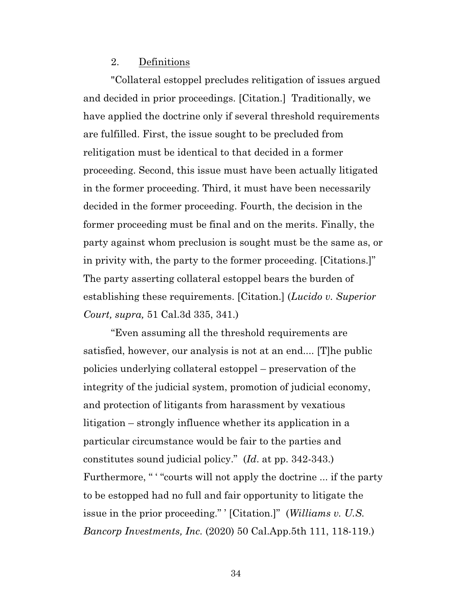#### 2. Definitions

"Collateral estoppel precludes relitigation of issues argued and decided in prior proceedings. [Citation.] Traditionally, we have applied the doctrine only if several threshold requirements are fulfilled. First, the issue sought to be precluded from relitigation must be identical to that decided in a former proceeding. Second, this issue must have been actually litigated in the former proceeding. Third, it must have been necessarily decided in the former proceeding. Fourth, the decision in the former proceeding must be final and on the merits. Finally, the party against whom preclusion is sought must be the same as, or in privity with, the party to the former proceeding. [Citations.]" The party asserting collateral estoppel bears the burden of establishing these requirements. [Citation.] (*Lucido v. Superior Court, supra,* 51 Cal.3d 335, 341.)

"Even assuming all the threshold requirements are satisfied, however, our analysis is not at an end.... [T]he public policies underlying collateral estoppel – preservation of the integrity of the judicial system, promotion of judicial economy, and protection of litigants from harassment by vexatious litigation – strongly influence whether its application in a particular circumstance would be fair to the parties and constitutes sound judicial policy." (*Id*. at pp. 342-343.) Furthermore, " "courts will not apply the doctrine ... if the party to be estopped had no full and fair opportunity to litigate the issue in the prior proceeding." ' [Citation.]" (*Williams v. U.S. Bancorp Investments, Inc.* (2020) 50 Cal.App.5th 111, 118-119.)

34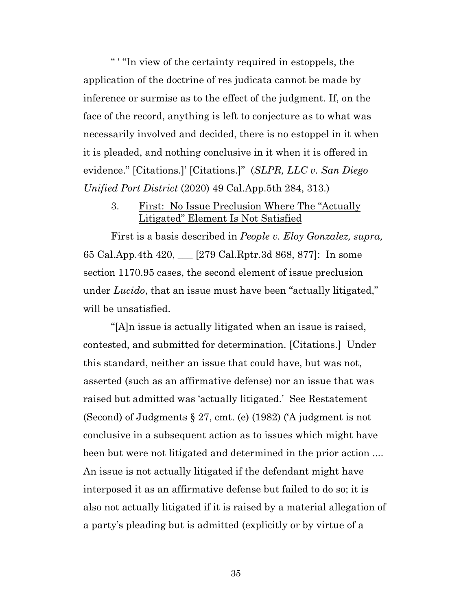" ' "In view of the certainty required in estoppels, the application of the doctrine of res judicata cannot be made by inference or surmise as to the effect of the judgment. If, on the face of the record, anything is left to conjecture as to what was necessarily involved and decided, there is no estoppel in it when it is pleaded, and nothing conclusive in it when it is offered in evidence." [Citations.]' [Citations.]" (*SLPR, LLC v. San Diego Unified Port District* (2020) 49 Cal.App.5th 284, 313.)

3. First: No Issue Preclusion Where The "Actually" Litigated" Element Is Not Satisfied

First is a basis described in *People v. Eloy Gonzalez, supra,* 65 Cal.App.4th 420, \_\_\_ [279 Cal.Rptr.3d 868, 877]: In some section 1170.95 cases, the second element of issue preclusion under *Lucido*, that an issue must have been "actually litigated," will be unsatisfied.

"[A]n issue is actually litigated when an issue is raised, contested, and submitted for determination. [Citations.] Under this standard, neither an issue that could have, but was not, asserted (such as an affirmative defense) nor an issue that was raised but admitted was 'actually litigated.' See Restatement (Second) of Judgments § 27, cmt. (e) (1982) ('A judgment is not conclusive in a subsequent action as to issues which might have been but were not litigated and determined in the prior action .... An issue is not actually litigated if the defendant might have interposed it as an affirmative defense but failed to do so; it is also not actually litigated if it is raised by a material allegation of a party's pleading but is admitted (explicitly or by virtue of a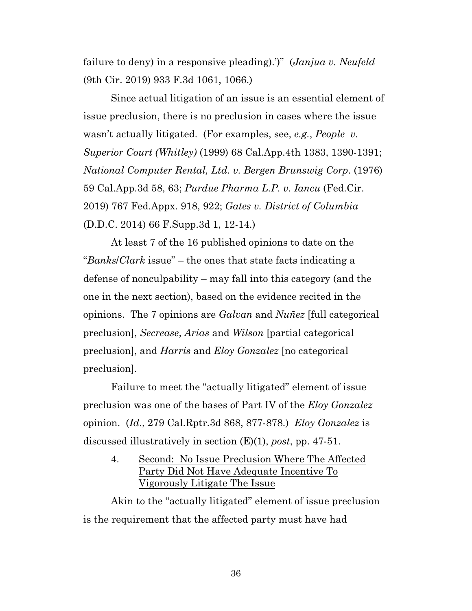failure to deny) in a responsive pleading).')" (*Janjua v. Neufeld* (9th Cir. 2019) 933 F.3d 1061, 1066.)

Since actual litigation of an issue is an essential element of issue preclusion, there is no preclusion in cases where the issue wasn't actually litigated. (For examples, see, *e.g.*, *People v. Superior Court (Whitley)* (1999) 68 Cal.App.4th 1383, 1390-1391; *National Computer Rental, Ltd. v. Bergen Brunswig Corp*. (1976) 59 Cal.App.3d 58, 63; *Purdue Pharma L.P. v. Iancu* (Fed.Cir. 2019) 767 Fed.Appx. 918, 922; *Gates v. District of Columbia* (D.D.C. 2014) 66 F.Supp.3d 1, 12-14.)

At least 7 of the 16 published opinions to date on the "*Banks*/*Clark* issue" – the ones that state facts indicating a defense of nonculpability – may fall into this category (and the one in the next section), based on the evidence recited in the opinions. The 7 opinions are *Galvan* and *Nuñez* [full categorical preclusion], *Secrease*, *Arias* and *Wilson* [partial categorical preclusion], and *Harris* and *Eloy Gonzalez* [no categorical preclusion].

Failure to meet the "actually litigated" element of issue preclusion was one of the bases of Part IV of the *Eloy Gonzalez* opinion. (*Id*., 279 Cal.Rptr.3d 868, 877-878.) *Eloy Gonzalez* is discussed illustratively in section (E)(1), *post*, pp. 47-51.

4. Second: No Issue Preclusion Where The Affected Party Did Not Have Adequate Incentive To Vigorously Litigate The Issue

Akin to the "actually litigated" element of issue preclusion is the requirement that the affected party must have had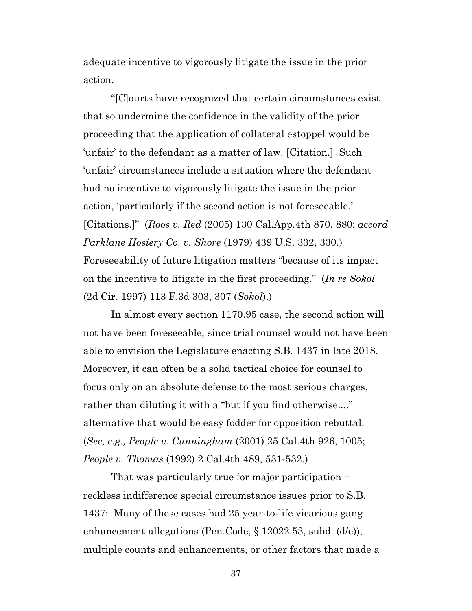adequate incentive to vigorously litigate the issue in the prior action.

"[C]ourts have recognized that certain circumstances exist that so undermine the confidence in the validity of the prior proceeding that the application of collateral estoppel would be 'unfair' to the defendant as a matter of law. [Citation.] Such 'unfair' circumstances include a situation where the defendant had no incentive to vigorously litigate the issue in the prior action, 'particularly if the second action is not foreseeable.' [Citations.]" (*Roos v. Red* (2005) 130 Cal.App.4th 870, 880; *accord Parklane Hosiery Co. v. Shore* (1979) 439 U.S. 332, 330.) Foreseeability of future litigation matters "because of its impact on the incentive to litigate in the first proceeding." (*In re Sokol* (2d Cir. 1997) 113 F.3d 303, 307 (*Sokol*).)

In almost every section 1170.95 case, the second action will not have been foreseeable, since trial counsel would not have been able to envision the Legislature enacting S.B. 1437 in late 2018. Moreover, it can often be a solid tactical choice for counsel to focus only on an absolute defense to the most serious charges, rather than diluting it with a "but if you find otherwise...." alternative that would be easy fodder for opposition rebuttal. (*See, e.g., People v. Cunningham* (2001) 25 Cal.4th 926, 1005; *People v. Thomas* (1992) 2 Cal.4th 489, 531-532.)

That was particularly true for major participation + reckless indifference special circumstance issues prior to S.B. 1437: Many of these cases had 25 year-to-life vicarious gang enhancement allegations (Pen.Code, § 12022.53, subd. (d/e)), multiple counts and enhancements, or other factors that made a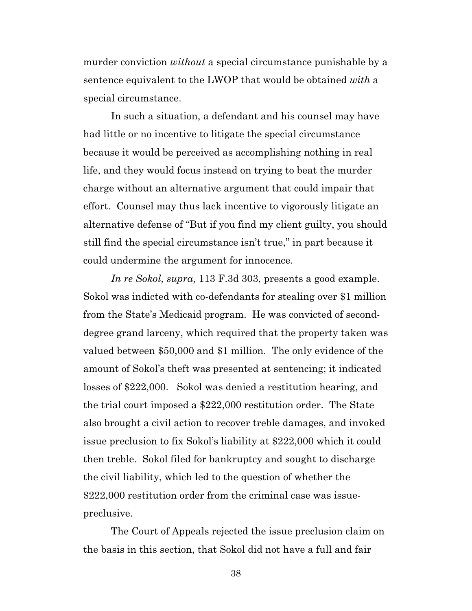murder conviction *without* a special circumstance punishable by a sentence equivalent to the LWOP that would be obtained *with* a special circumstance.

In such a situation, a defendant and his counsel may have had little or no incentive to litigate the special circumstance because it would be perceived as accomplishing nothing in real life, and they would focus instead on trying to beat the murder charge without an alternative argument that could impair that effort. Counsel may thus lack incentive to vigorously litigate an alternative defense of "But if you find my client guilty, you should still find the special circumstance isn't true," in part because it could undermine the argument for innocence.

*In re Sokol, supra,* 113 F.3d 303, presents a good example. Sokol was indicted with co-defendants for stealing over \$1 million from the State's Medicaid program. He was convicted of seconddegree grand larceny, which required that the property taken was valued between \$50,000 and \$1 million. The only evidence of the amount of Sokol's theft was presented at sentencing; it indicated losses of \$222,000. Sokol was denied a restitution hearing, and the trial court imposed a \$222,000 restitution order. The State also brought a civil action to recover treble damages, and invoked issue preclusion to fix Sokol's liability at \$222,000 which it could then treble. Sokol filed for bankruptcy and sought to discharge the civil liability, which led to the question of whether the \$222,000 restitution order from the criminal case was issuepreclusive.

The Court of Appeals rejected the issue preclusion claim on the basis in this section, that Sokol did not have a full and fair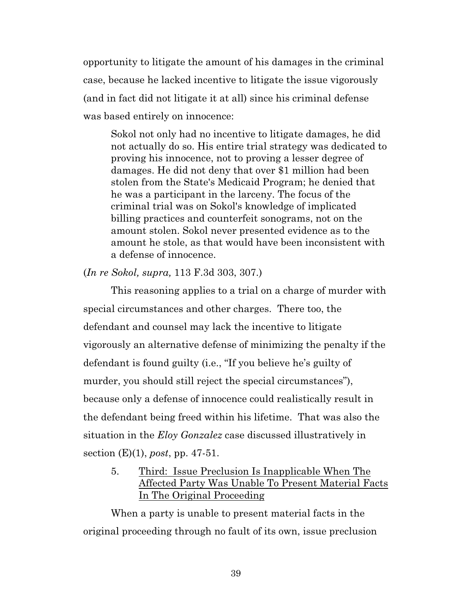opportunity to litigate the amount of his damages in the criminal case, because he lacked incentive to litigate the issue vigorously (and in fact did not litigate it at all) since his criminal defense was based entirely on innocence:

Sokol not only had no incentive to litigate damages, he did not actually do so. His entire trial strategy was dedicated to proving his innocence, not to proving a lesser degree of damages. He did not deny that over \$1 million had been stolen from the State's Medicaid Program; he denied that he was a participant in the larceny. The focus of the criminal trial was on Sokol's knowledge of implicated billing practices and counterfeit sonograms, not on the amount stolen. Sokol never presented evidence as to the amount he stole, as that would have been inconsistent with a defense of innocence.

(*In re Sokol, supra,* 113 F.3d 303, 307.)

This reasoning applies to a trial on a charge of murder with special circumstances and other charges. There too, the defendant and counsel may lack the incentive to litigate vigorously an alternative defense of minimizing the penalty if the defendant is found guilty (i.e., "If you believe he's guilty of murder, you should still reject the special circumstances"), because only a defense of innocence could realistically result in the defendant being freed within his lifetime. That was also the situation in the *Eloy Gonzalez* case discussed illustratively in section (E)(1), *post*, pp. 47-51.

5. Third: Issue Preclusion Is Inapplicable When The Affected Party Was Unable To Present Material Facts In The Original Proceeding

When a party is unable to present material facts in the original proceeding through no fault of its own, issue preclusion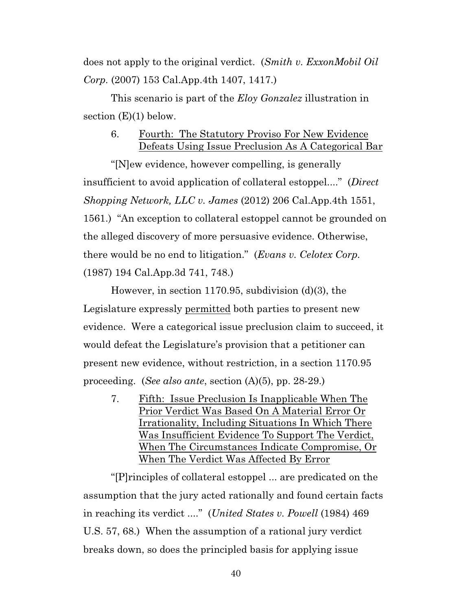does not apply to the original verdict. (*Smith v. ExxonMobil Oil Corp.* (2007) 153 Cal.App.4th 1407, 1417.)

This scenario is part of the *Eloy Gonzalez* illustration in section  $(E)(1)$  below.

# 6. Fourth: The Statutory Proviso For New Evidence Defeats Using Issue Preclusion As A Categorical Bar

"[N]ew evidence, however compelling, is generally insufficient to avoid application of collateral estoppel...." (*Direct Shopping Network, LLC v. James* (2012) 206 Cal.App.4th 1551, 1561.) "An exception to collateral estoppel cannot be grounded on the alleged discovery of more persuasive evidence. Otherwise, there would be no end to litigation." (*Evans v. Celotex Corp.* (1987) 194 Cal.App.3d 741, 748.)

However, in section 1170.95, subdivision (d)(3), the Legislature expressly permitted both parties to present new evidence. Were a categorical issue preclusion claim to succeed, it would defeat the Legislature's provision that a petitioner can present new evidence, without restriction, in a section 1170.95 proceeding. (*See also ante*, section (A)(5), pp. 28-29.)

7. Fifth: Issue Preclusion Is Inapplicable When The Prior Verdict Was Based On A Material Error Or Irrationality, Including Situations In Which There Was Insufficient Evidence To Support The Verdict, When The Circumstances Indicate Compromise, Or When The Verdict Was Affected By Error

"[P]rinciples of collateral estoppel ... are predicated on the assumption that the jury acted rationally and found certain facts in reaching its verdict ...." (*United States v. Powell* (1984) 469 U.S. 57, 68.) When the assumption of a rational jury verdict breaks down, so does the principled basis for applying issue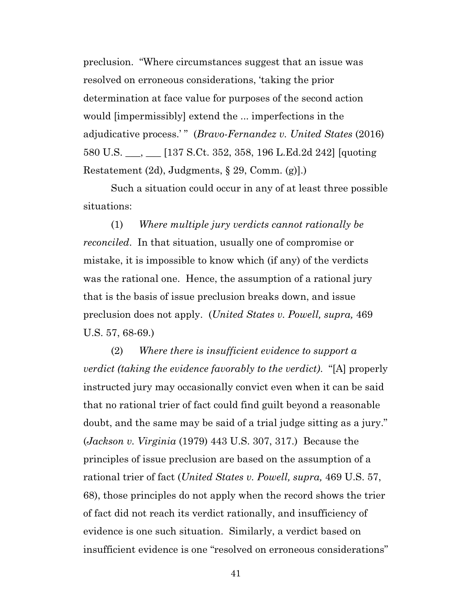preclusion. "Where circumstances suggest that an issue was resolved on erroneous considerations, 'taking the prior determination at face value for purposes of the second action would [impermissibly] extend the ... imperfections in the adjudicative process.' " (*Bravo-Fernandez v. United States* (2016) 580 U.S. \_\_\_, \_\_\_ [137 S.Ct. 352, 358, 196 L.Ed.2d 242] [quoting Restatement (2d), Judgments, § 29, Comm. (g)].)

Such a situation could occur in any of at least three possible situations:

(1) *Where multiple jury verdicts cannot rationally be reconciled*. In that situation, usually one of compromise or mistake, it is impossible to know which (if any) of the verdicts was the rational one. Hence, the assumption of a rational jury that is the basis of issue preclusion breaks down, and issue preclusion does not apply. (*United States v. Powell, supra,* 469 U.S. 57, 68-69.)

(2) *Where there is insufficient evidence to support a verdict (taking the evidence favorably to the verdict)*. "[A] properly instructed jury may occasionally convict even when it can be said that no rational trier of fact could find guilt beyond a reasonable doubt, and the same may be said of a trial judge sitting as a jury." (*Jackson v. Virginia* (1979) 443 U.S. 307, 317.) Because the principles of issue preclusion are based on the assumption of a rational trier of fact (*United States v. Powell, supra,* 469 U.S. 57, 68), those principles do not apply when the record shows the trier of fact did not reach its verdict rationally, and insufficiency of evidence is one such situation. Similarly, a verdict based on insufficient evidence is one "resolved on erroneous considerations"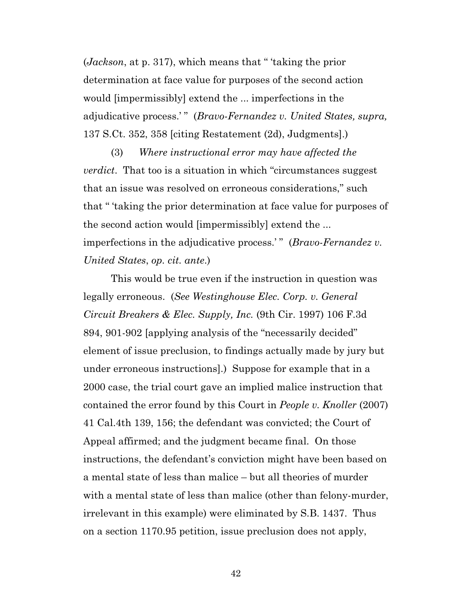(*Jackson*, at p. 317), which means that " 'taking the prior determination at face value for purposes of the second action would [impermissibly] extend the ... imperfections in the adjudicative process.' " (*Bravo-Fernandez v. United States, supra,* 137 S.Ct. 352, 358 [citing Restatement (2d), Judgments].)

(3) *Where instructional error may have affected the verdict*. That too is a situation in which "circumstances suggest that an issue was resolved on erroneous considerations," such that " 'taking the prior determination at face value for purposes of the second action would [impermissibly] extend the ... imperfections in the adjudicative process.'" (*Bravo-Fernandez v*. *United States*, *op. cit. ante*.)

This would be true even if the instruction in question was legally erroneous. (*See Westinghouse Elec. Corp. v. General Circuit Breakers & Elec. Supply, Inc.* (9th Cir. 1997) 106 F.3d 894, 901-902 [applying analysis of the "necessarily decided" element of issue preclusion, to findings actually made by jury but under erroneous instructions].) Suppose for example that in a 2000 case, the trial court gave an implied malice instruction that contained the error found by this Court in *People v. Knoller* (2007) 41 Cal.4th 139, 156; the defendant was convicted; the Court of Appeal affirmed; and the judgment became final. On those instructions, the defendant's conviction might have been based on a mental state of less than malice – but all theories of murder with a mental state of less than malice (other than felony-murder, irrelevant in this example) were eliminated by S.B. 1437. Thus on a section 1170.95 petition, issue preclusion does not apply,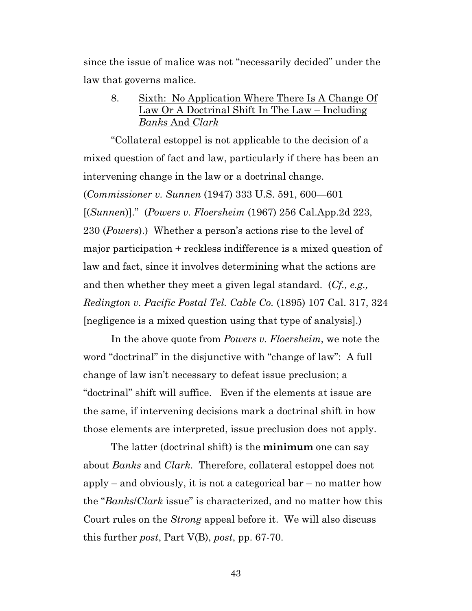since the issue of malice was not "necessarily decided" under the law that governs malice.

8. Sixth: No Application Where There Is A Change Of Law Or A Doctrinal Shift In The Law – Including *Banks* And *Clark*

"Collateral estoppel is not applicable to the decision of a mixed question of fact and law, particularly if there has been an intervening change in the law or a doctrinal change. (*Commissioner v. Sunnen* (1947) 333 U.S. 591, 600—601 [(*Sunnen*)]." (*Powers v. Floersheim* (1967) 256 Cal.App.2d 223, 230 (*Powers*).) Whether a person's actions rise to the level of major participation + reckless indifference is a mixed question of law and fact, since it involves determining what the actions are and then whether they meet a given legal standard. (*Cf., e.g., Redington v. Pacific Postal Tel. Cable Co.* (1895) 107 Cal. 317, 324 [negligence is a mixed question using that type of analysis].)

In the above quote from *Powers v. Floersheim*, we note the word "doctrinal" in the disjunctive with "change of law": A full change of law isn't necessary to defeat issue preclusion; a "doctrinal" shift will suffice. Even if the elements at issue are the same, if intervening decisions mark a doctrinal shift in how those elements are interpreted, issue preclusion does not apply.

The latter (doctrinal shift) is the **minimum** one can say about *Banks* and *Clark*. Therefore, collateral estoppel does not apply – and obviously, it is not a categorical bar – no matter how the "*Banks*/*Clark* issue" is characterized, and no matter how this Court rules on the *Strong* appeal before it. We will also discuss this further *post*, Part V(B), *post*, pp. 67-70.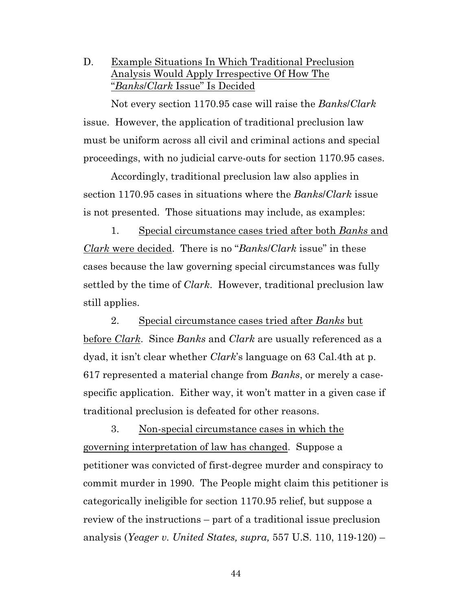D. Example Situations In Which Traditional Preclusion Analysis Would Apply Irrespective Of How The "*Banks*/*Clark* Issue" Is Decided

Not every section 1170.95 case will raise the *Banks*/*Clark* issue. However, the application of traditional preclusion law must be uniform across all civil and criminal actions and special proceedings, with no judicial carve-outs for section 1170.95 cases.

Accordingly, traditional preclusion law also applies in section 1170.95 cases in situations where the *Banks*/*Clark* issue is not presented. Those situations may include, as examples:

1. Special circumstance cases tried after both *Banks* and *Clark* were decided. There is no "*Banks*/*Clark* issue" in these cases because the law governing special circumstances was fully settled by the time of *Clark*. However, traditional preclusion law still applies.

2. Special circumstance cases tried after *Banks* but before *Clark*. Since *Banks* and *Clark* are usually referenced as a dyad, it isn't clear whether *Clark*'s language on 63 Cal.4th at p. 617 represented a material change from *Banks*, or merely a casespecific application. Either way, it won't matter in a given case if traditional preclusion is defeated for other reasons.

3. Non-special circumstance cases in which the governing interpretation of law has changed. Suppose a petitioner was convicted of first-degree murder and conspiracy to commit murder in 1990. The People might claim this petitioner is categorically ineligible for section 1170.95 relief, but suppose a review of the instructions – part of a traditional issue preclusion analysis (*Yeager v. United States, supra,* 557 U.S. 110, 119-120) –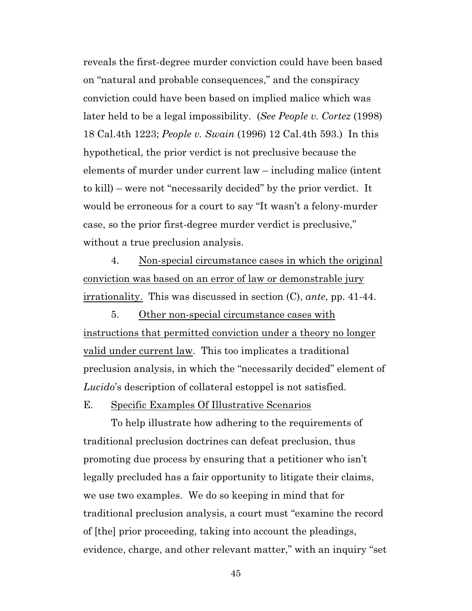reveals the first-degree murder conviction could have been based on "natural and probable consequences," and the conspiracy conviction could have been based on implied malice which was later held to be a legal impossibility. (*See People v. Cortez* (1998) 18 Cal.4th 1223; *People v. Swain* (1996) 12 Cal.4th 593.) In this hypothetical, the prior verdict is not preclusive because the elements of murder under current law – including malice (intent to kill) – were not "necessarily decided" by the prior verdict. It would be erroneous for a court to say "It wasn't a felony-murder case, so the prior first-degree murder verdict is preclusive," without a true preclusion analysis.

4. Non-special circumstance cases in which the original conviction was based on an error of law or demonstrable jury irrationality. This was discussed in section (C), *ante*, pp. 41-44.

5. Other non-special circumstance cases with instructions that permitted conviction under a theory no longer valid under current law. This too implicates a traditional preclusion analysis, in which the "necessarily decided" element of *Lucido*'s description of collateral estoppel is not satisfied.

E. Specific Examples Of Illustrative Scenarios

To help illustrate how adhering to the requirements of traditional preclusion doctrines can defeat preclusion, thus promoting due process by ensuring that a petitioner who isn't legally precluded has a fair opportunity to litigate their claims, we use two examples. We do so keeping in mind that for traditional preclusion analysis, a court must "examine the record of [the] prior proceeding, taking into account the pleadings, evidence, charge, and other relevant matter," with an inquiry "set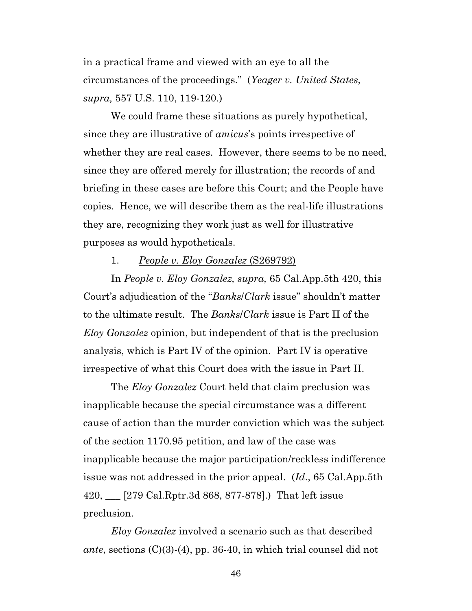in a practical frame and viewed with an eye to all the circumstances of the proceedings." (*Yeager v. United States, supra,* 557 U.S. 110, 119-120.)

We could frame these situations as purely hypothetical, since they are illustrative of *amicus*'s points irrespective of whether they are real cases. However, there seems to be no need, since they are offered merely for illustration; the records of and briefing in these cases are before this Court; and the People have copies. Hence, we will describe them as the real-life illustrations they are, recognizing they work just as well for illustrative purposes as would hypotheticals.

#### 1. *People v. Eloy Gonzalez* (S269792)

In *People v. Eloy Gonzalez, supra,* 65 Cal.App.5th 420, this Court's adjudication of the "*Banks*/*Clark* issue" shouldn't matter to the ultimate result. The *Banks*/*Clark* issue is Part II of the *Eloy Gonzalez* opinion, but independent of that is the preclusion analysis, which is Part IV of the opinion. Part IV is operative irrespective of what this Court does with the issue in Part II.

The *Eloy Gonzalez* Court held that claim preclusion was inapplicable because the special circumstance was a different cause of action than the murder conviction which was the subject of the section 1170.95 petition, and law of the case was inapplicable because the major participation/reckless indifference issue was not addressed in the prior appeal. (*Id*., 65 Cal.App.5th 420, \_\_\_ [279 Cal.Rptr.3d 868, 877-878].) That left issue preclusion.

*Eloy Gonzalez* involved a scenario such as that described *ante*, sections (C)(3)-(4), pp. 36-40, in which trial counsel did not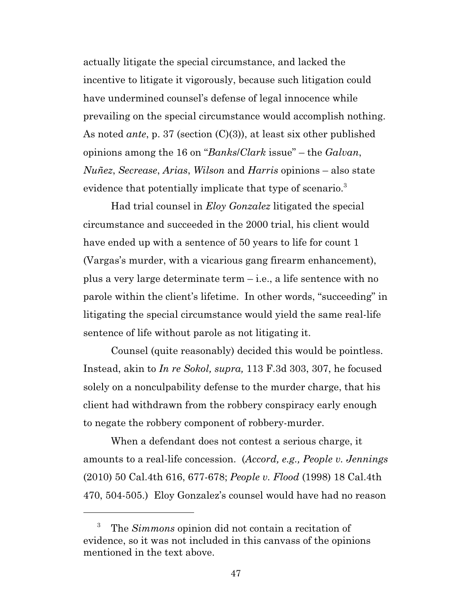actually litigate the special circumstance, and lacked the incentive to litigate it vigorously, because such litigation could have undermined counsel's defense of legal innocence while prevailing on the special circumstance would accomplish nothing. As noted *ante*, p. 37 (section (C)(3)), at least six other published opinions among the 16 on "*Banks*/*Clark* issue" – the *Galvan*, *Nuñez*, *Secrease*, *Arias*, *Wilson* and *Harris* opinions – also state evidence that potentially implicate that type of scenario.<sup>3</sup>

Had trial counsel in *Eloy Gonzalez* litigated the special circumstance and succeeded in the 2000 trial, his client would have ended up with a sentence of 50 years to life for count 1 (Vargas's murder, with a vicarious gang firearm enhancement), plus a very large determinate term – i.e., a life sentence with no parole within the client's lifetime. In other words, "succeeding" in litigating the special circumstance would yield the same real-life sentence of life without parole as not litigating it.

Counsel (quite reasonably) decided this would be pointless. Instead, akin to *In re Sokol, supra,* 113 F.3d 303, 307, he focused solely on a nonculpability defense to the murder charge, that his client had withdrawn from the robbery conspiracy early enough to negate the robbery component of robbery-murder.

When a defendant does not contest a serious charge, it amounts to a real-life concession. (*Accord, e.g., People v. Jennings* (2010) 50 Cal.4th 616, 677-678; *People v. Flood* (1998) 18 Cal.4th 470, 504-505.) Eloy Gonzalez's counsel would have had no reason

<sup>3</sup> The *Simmons* opinion did not contain a recitation of evidence, so it was not included in this canvass of the opinions mentioned in the text above.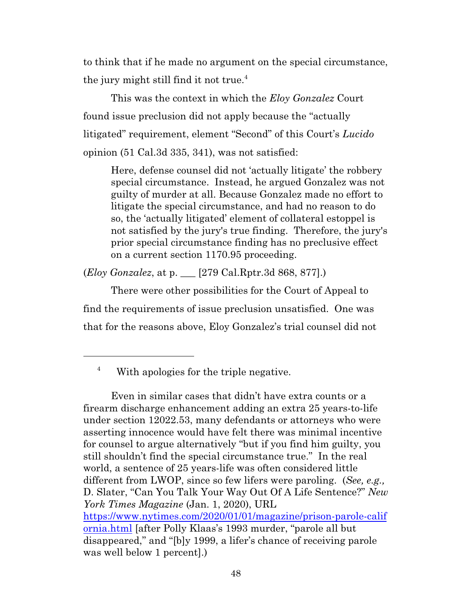to think that if he made no argument on the special circumstance, the jury might still find it not true.<sup>4</sup>

This was the context in which the *Eloy Gonzalez* Court found issue preclusion did not apply because the "actually litigated" requirement, element "Second" of this Court's *Lucido* opinion (51 Cal.3d 335, 341), was not satisfied:

Here, defense counsel did not 'actually litigate' the robbery special circumstance. Instead, he argued Gonzalez was not guilty of murder at all. Because Gonzalez made no effort to litigate the special circumstance, and had no reason to do so, the 'actually litigated' element of collateral estoppel is not satisfied by the jury's true finding. Therefore, the jury's prior special circumstance finding has no preclusive effect on a current section 1170.95 proceeding.

(*Eloy Gonzalez*, at p. \_\_\_ [279 Cal.Rptr.3d 868, 877].)

There were other possibilities for the Court of Appeal to find the requirements of issue preclusion unsatisfied. One was that for the reasons above, Eloy Gonzalez's trial counsel did not

Even in similar cases that didn't have extra counts or a firearm discharge enhancement adding an extra 25 years-to-life under section 12022.53, many defendants or attorneys who were asserting innocence would have felt there was minimal incentive for counsel to argue alternatively "but if you find him guilty, you still shouldn't find the special circumstance true." In the real world, a sentence of 25 years-life was often considered little different from LWOP, since so few lifers were paroling. (*See, e.g.,* D. Slater, "Can You Talk Your Way Out Of A Life Sentence?" *New York Times Magazine* (Jan. 1, 2020), URL https://www.nytimes.com/2020/01/01/magazine/prison-parole-calif ornia.html [after Polly Klaas's 1993 murder, "parole all but disappeared," and "[b]y 1999, a lifer's chance of receiving parole was well below 1 percent].)

<sup>4</sup> With apologies for the triple negative.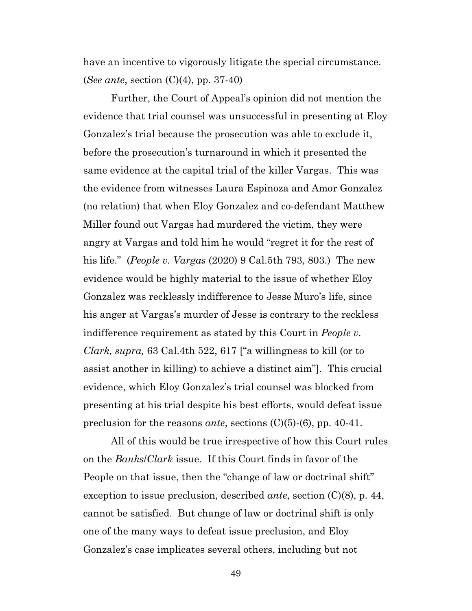have an incentive to vigorously litigate the special circumstance. (*See ante*, section (C)(4), pp. 37-40)

Further, the Court of Appeal's opinion did not mention the evidence that trial counsel was unsuccessful in presenting at Eloy Gonzalez's trial because the prosecution was able to exclude it, before the prosecution's turnaround in which it presented the same evidence at the capital trial of the killer Vargas. This was the evidence from witnesses Laura Espinoza and Amor Gonzalez (no relation) that when Eloy Gonzalez and co-defendant Matthew Miller found out Vargas had murdered the victim, they were angry at Vargas and told him he would "regret it for the rest of his life." (*People v. Vargas* (2020) 9 Cal.5th 793, 803.) The new evidence would be highly material to the issue of whether Eloy Gonzalez was recklessly indifference to Jesse Muro's life, since his anger at Vargas's murder of Jesse is contrary to the reckless indifference requirement as stated by this Court in *People v. Clark, supra,* 63 Cal.4th 522, 617 ["a willingness to kill (or to assist another in killing) to achieve a distinct aim"]. This crucial evidence, which Eloy Gonzalez's trial counsel was blocked from presenting at his trial despite his best efforts, would defeat issue preclusion for the reasons *ante*, sections (C)(5)-(6), pp. 40-41.

All of this would be true irrespective of how this Court rules on the *Banks*/*Clark* issue. If this Court finds in favor of the People on that issue, then the "change of law or doctrinal shift" exception to issue preclusion, described *ante*, section (C)(8), p. 44, cannot be satisfied. But change of law or doctrinal shift is only one of the many ways to defeat issue preclusion, and Eloy Gonzalez's case implicates several others, including but not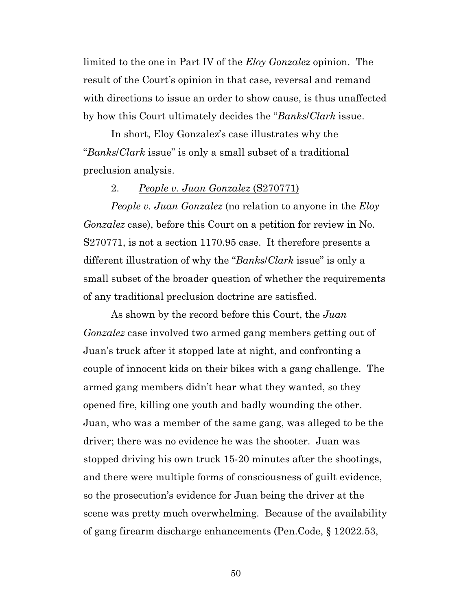limited to the one in Part IV of the *Eloy Gonzalez* opinion. The result of the Court's opinion in that case, reversal and remand with directions to issue an order to show cause, is thus unaffected by how this Court ultimately decides the "*Banks*/*Clark* issue.

In short, Eloy Gonzalez's case illustrates why the "*Banks*/*Clark* issue" is only a small subset of a traditional preclusion analysis.

### 2. *People v. Juan Gonzalez* (S270771)

*People v. Juan Gonzalez* (no relation to anyone in the *Eloy Gonzalez* case), before this Court on a petition for review in No. S270771, is not a section 1170.95 case. It therefore presents a different illustration of why the "*Banks*/*Clark* issue" is only a small subset of the broader question of whether the requirements of any traditional preclusion doctrine are satisfied.

As shown by the record before this Court, the *Juan Gonzalez* case involved two armed gang members getting out of Juan's truck after it stopped late at night, and confronting a couple of innocent kids on their bikes with a gang challenge. The armed gang members didn't hear what they wanted, so they opened fire, killing one youth and badly wounding the other. Juan, who was a member of the same gang, was alleged to be the driver; there was no evidence he was the shooter. Juan was stopped driving his own truck 15-20 minutes after the shootings, and there were multiple forms of consciousness of guilt evidence, so the prosecution's evidence for Juan being the driver at the scene was pretty much overwhelming. Because of the availability of gang firearm discharge enhancements (Pen.Code, § 12022.53,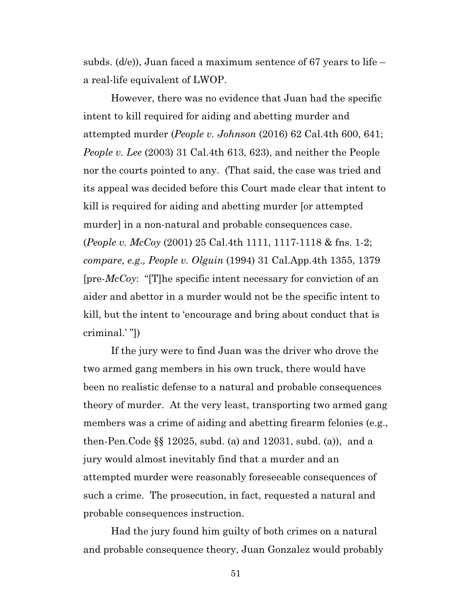subds. (d/e)), Juan faced a maximum sentence of 67 years to life – a real-life equivalent of LWOP.

However, there was no evidence that Juan had the specific intent to kill required for aiding and abetting murder and attempted murder (*People v. Johnson* (2016) 62 Cal.4th 600, 641; *People v. Lee* (2003) 31 Cal.4th 613, 623), and neither the People nor the courts pointed to any. (That said, the case was tried and its appeal was decided before this Court made clear that intent to kill is required for aiding and abetting murder [or attempted murder] in a non-natural and probable consequences case. (*People v. McCoy* (2001) 25 Cal.4th 1111, 1117-1118 & fns. 1-2; *compare, e.g., People v. Olguin* (1994) 31 Cal.App.4th 1355, 1379 [pre-*McCoy*: "[T]he specific intent necessary for conviction of an aider and abettor in a murder would not be the specific intent to kill, but the intent to 'encourage and bring about conduct that is criminal.' "])

If the jury were to find Juan was the driver who drove the two armed gang members in his own truck, there would have been no realistic defense to a natural and probable consequences theory of murder. At the very least, transporting two armed gang members was a crime of aiding and abetting firearm felonies (e.g., then-Pen.Code §§ 12025, subd. (a) and 12031, subd. (a)), and a jury would almost inevitably find that a murder and an attempted murder were reasonably foreseeable consequences of such a crime. The prosecution, in fact, requested a natural and probable consequences instruction.

Had the jury found him guilty of both crimes on a natural and probable consequence theory, Juan Gonzalez would probably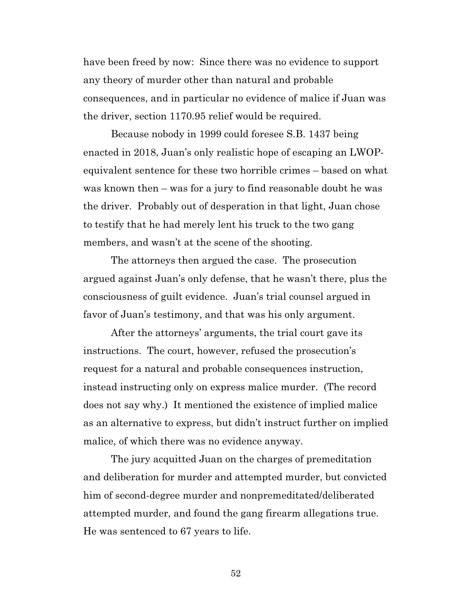have been freed by now: Since there was no evidence to support any theory of murder other than natural and probable consequences, and in particular no evidence of malice if Juan was the driver, section 1170.95 relief would be required.

Because nobody in 1999 could foresee S.B. 1437 being enacted in 2018, Juan's only realistic hope of escaping an LWOPequivalent sentence for these two horrible crimes – based on what was known then – was for a jury to find reasonable doubt he was the driver. Probably out of desperation in that light, Juan chose to testify that he had merely lent his truck to the two gang members, and wasn't at the scene of the shooting.

The attorneys then argued the case. The prosecution argued against Juan's only defense, that he wasn't there, plus the consciousness of guilt evidence. Juan's trial counsel argued in favor of Juan's testimony, and that was his only argument.

After the attorneys' arguments, the trial court gave its instructions. The court, however, refused the prosecution's request for a natural and probable consequences instruction, instead instructing only on express malice murder. (The record does not say why.) It mentioned the existence of implied malice as an alternative to express, but didn't instruct further on implied malice, of which there was no evidence anyway.

The jury acquitted Juan on the charges of premeditation and deliberation for murder and attempted murder, but convicted him of second-degree murder and nonpremeditated/deliberated attempted murder, and found the gang firearm allegations true. He was sentenced to 67 years to life.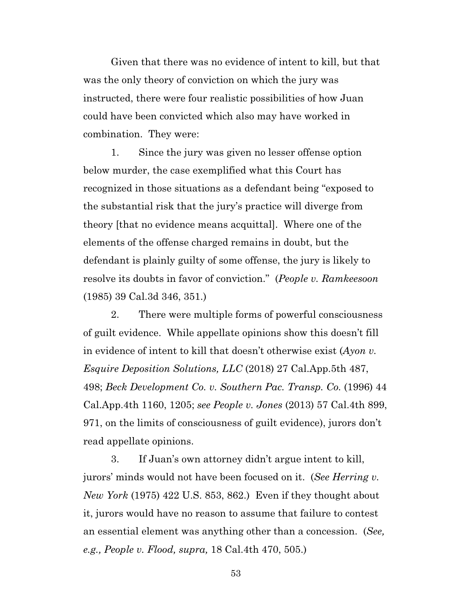Given that there was no evidence of intent to kill, but that was the only theory of conviction on which the jury was instructed, there were four realistic possibilities of how Juan could have been convicted which also may have worked in combination. They were:

1. Since the jury was given no lesser offense option below murder, the case exemplified what this Court has recognized in those situations as a defendant being "exposed to the substantial risk that the jury's practice will diverge from theory [that no evidence means acquittal]. Where one of the elements of the offense charged remains in doubt, but the defendant is plainly guilty of some offense, the jury is likely to resolve its doubts in favor of conviction." (*People v. Ramkeesoon* (1985) 39 Cal.3d 346, 351.)

2. There were multiple forms of powerful consciousness of guilt evidence. While appellate opinions show this doesn't fill in evidence of intent to kill that doesn't otherwise exist (*Ayon v. Esquire Deposition Solutions, LLC* (2018) 27 Cal.App.5th 487, 498; *Beck Development Co. v. Southern Pac. Transp. Co.* (1996) 44 Cal.App.4th 1160, 1205; *see People v. Jones* (2013) 57 Cal.4th 899, 971, on the limits of consciousness of guilt evidence), jurors don't read appellate opinions.

3. If Juan's own attorney didn't argue intent to kill, jurors' minds would not have been focused on it. (*See Herring v. New York* (1975) 422 U.S. 853, 862.) Even if they thought about it, jurors would have no reason to assume that failure to contest an essential element was anything other than a concession. (*See, e.g., People v. Flood, supra,* 18 Cal.4th 470, 505.)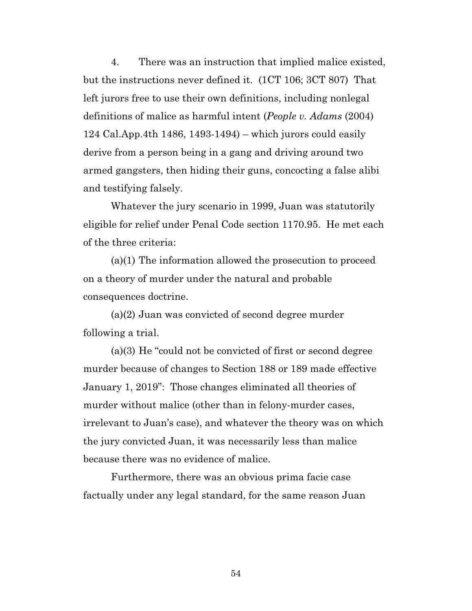4. There was an instruction that implied malice existed, but the instructions never defined it. (1CT 106; 3CT 807) That left jurors free to use their own definitions, including nonlegal definitions of malice as harmful intent (*People v. Adams* (2004) 124 Cal.App.4th 1486, 1493-1494) – which jurors could easily derive from a person being in a gang and driving around two armed gangsters, then hiding their guns, concocting a false alibi and testifying falsely.

Whatever the jury scenario in 1999, Juan was statutorily eligible for relief under Penal Code section 1170.95. He met each of the three criteria:

(a)(1) The information allowed the prosecution to proceed on a theory of murder under the natural and probable consequences doctrine.

(a)(2) Juan was convicted of second degree murder following a trial.

(a)(3) He "could not be convicted of first or second degree murder because of changes to Section 188 or 189 made effective January 1, 2019": Those changes eliminated all theories of murder without malice (other than in felony-murder cases, irrelevant to Juan's case), and whatever the theory was on which the jury convicted Juan, it was necessarily less than malice because there was no evidence of malice.

Furthermore, there was an obvious prima facie case factually under any legal standard, for the same reason Juan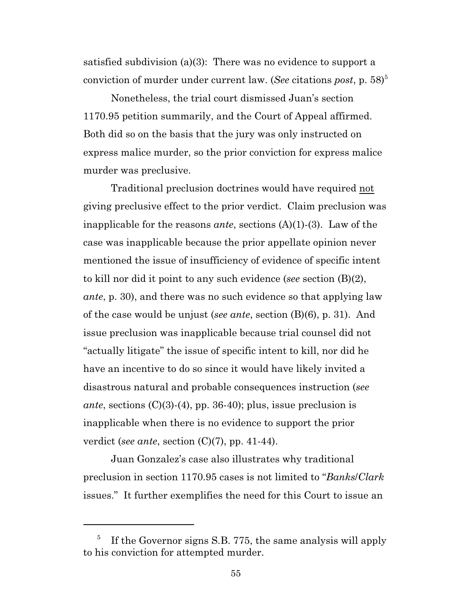satisfied subdivision (a)(3): There was no evidence to support a conviction of murder under current law. (*See* citations *post*, p. 58)<sup>5</sup>

Nonetheless, the trial court dismissed Juan's section 1170.95 petition summarily, and the Court of Appeal affirmed. Both did so on the basis that the jury was only instructed on express malice murder, so the prior conviction for express malice murder was preclusive.

Traditional preclusion doctrines would have required not giving preclusive effect to the prior verdict. Claim preclusion was inapplicable for the reasons *ante*, sections (A)(1)-(3). Law of the case was inapplicable because the prior appellate opinion never mentioned the issue of insufficiency of evidence of specific intent to kill nor did it point to any such evidence (*see* section (B)(2), *ante*, p. 30), and there was no such evidence so that applying law of the case would be unjust (*see ante*, section (B)(6), p. 31). And issue preclusion was inapplicable because trial counsel did not "actually litigate" the issue of specific intent to kill, nor did he have an incentive to do so since it would have likely invited a disastrous natural and probable consequences instruction (*see ante*, sections (C)(3)-(4), pp. 36-40); plus, issue preclusion is inapplicable when there is no evidence to support the prior verdict (*see ante*, section (C)(7), pp. 41-44).

Juan Gonzalez's case also illustrates why traditional preclusion in section 1170.95 cases is not limited to "*Banks*/*Clark* issues." It further exemplifies the need for this Court to issue an

<sup>5</sup> If the Governor signs S.B. 775, the same analysis will apply to his conviction for attempted murder.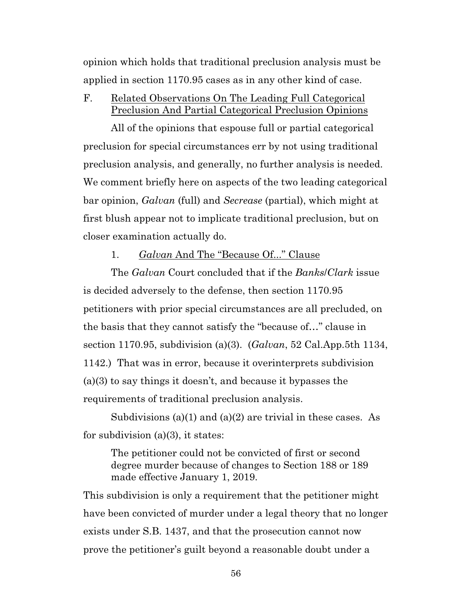opinion which holds that traditional preclusion analysis must be applied in section 1170.95 cases as in any other kind of case.

F. Related Observations On The Leading Full Categorical Preclusion And Partial Categorical Preclusion Opinions

All of the opinions that espouse full or partial categorical preclusion for special circumstances err by not using traditional preclusion analysis, and generally, no further analysis is needed. We comment briefly here on aspects of the two leading categorical bar opinion, *Galvan* (full) and *Secrease* (partial), which might at first blush appear not to implicate traditional preclusion, but on closer examination actually do.

## 1. *Galvan* And The "Because Of..." Clause

The *Galvan* Court concluded that if the *Banks*/*Clark* issue is decided adversely to the defense, then section 1170.95 petitioners with prior special circumstances are all precluded, on the basis that they cannot satisfy the "because of…" clause in section 1170.95, subdivision (a)(3). (*Galvan*, 52 Cal.App.5th 1134, 1142.) That was in error, because it overinterprets subdivision (a)(3) to say things it doesn't, and because it bypasses the requirements of traditional preclusion analysis.

Subdivisions (a)(1) and (a)(2) are trivial in these cases. As for subdivision  $(a)(3)$ , it states:

The petitioner could not be convicted of first or second degree murder because of changes to Section 188 or 189 made effective January 1, 2019.

This subdivision is only a requirement that the petitioner might have been convicted of murder under a legal theory that no longer exists under S.B. 1437, and that the prosecution cannot now prove the petitioner's guilt beyond a reasonable doubt under a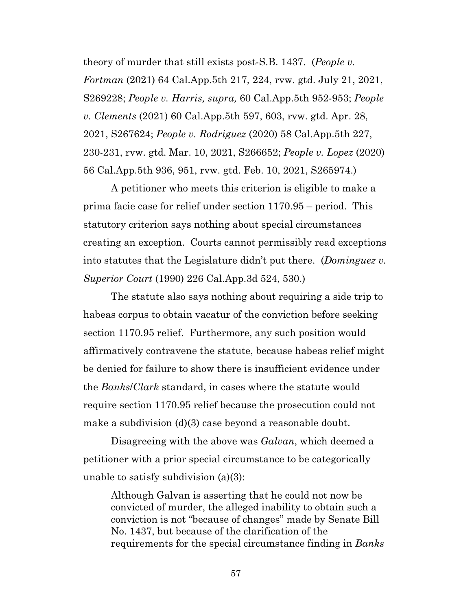theory of murder that still exists post-S.B. 1437. (*People v. Fortman* (2021) 64 Cal.App.5th 217, 224, rvw. gtd. July 21, 2021, S269228; *People v. Harris, supra,* 60 Cal.App.5th 952-953; *People v. Clements* (2021) 60 Cal.App.5th 597, 603, rvw. gtd. Apr. 28, 2021, S267624; *People v. Rodriguez* (2020) 58 Cal.App.5th 227, 230-231, rvw. gtd. Mar. 10, 2021, S266652; *People v. Lopez* (2020) 56 Cal.App.5th 936, 951, rvw. gtd. Feb. 10, 2021, S265974.)

A petitioner who meets this criterion is eligible to make a prima facie case for relief under section 1170.95 – period. This statutory criterion says nothing about special circumstances creating an exception. Courts cannot permissibly read exceptions into statutes that the Legislature didn't put there. (*Dominguez v. Superior Court* (1990) 226 Cal.App.3d 524, 530.)

The statute also says nothing about requiring a side trip to habeas corpus to obtain vacatur of the conviction before seeking section 1170.95 relief. Furthermore, any such position would affirmatively contravene the statute, because habeas relief might be denied for failure to show there is insufficient evidence under the *Banks*/*Clark* standard, in cases where the statute would require section 1170.95 relief because the prosecution could not make a subdivision (d)(3) case beyond a reasonable doubt.

Disagreeing with the above was *Galvan*, which deemed a petitioner with a prior special circumstance to be categorically unable to satisfy subdivision (a)(3):

Although Galvan is asserting that he could not now be convicted of murder, the alleged inability to obtain such a conviction is not "because of changes" made by Senate Bill No. 1437, but because of the clarification of the requirements for the special circumstance finding in *Banks*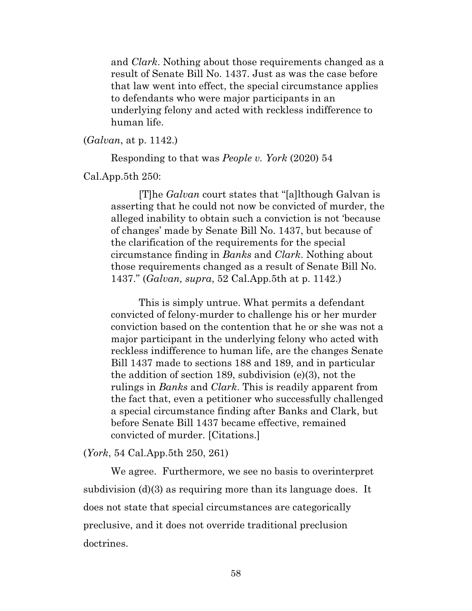and *Clark*. Nothing about those requirements changed as a result of Senate Bill No. 1437. Just as was the case before that law went into effect, the special circumstance applies to defendants who were major participants in an underlying felony and acted with reckless indifference to human life.

(*Galvan*, at p. 1142.)

Responding to that was *People v. York* (2020) 54

Cal.App.5th 250:

[T]he *Galvan* court states that "[a]lthough Galvan is asserting that he could not now be convicted of murder, the alleged inability to obtain such a conviction is not 'because of changes' made by Senate Bill No. 1437, but because of the clarification of the requirements for the special circumstance finding in *Banks* and *Clark*. Nothing about those requirements changed as a result of Senate Bill No. 1437." (*Galvan, supra*, 52 Cal.App.5th at p. 1142.)

This is simply untrue. What permits a defendant convicted of felony-murder to challenge his or her murder conviction based on the contention that he or she was not a major participant in the underlying felony who acted with reckless indifference to human life, are the changes Senate Bill 1437 made to sections 188 and 189, and in particular the addition of section 189, subdivision (e)(3), not the rulings in *Banks* and *Clark*. This is readily apparent from the fact that, even a petitioner who successfully challenged a special circumstance finding after Banks and Clark, but before Senate Bill 1437 became effective, remained convicted of murder. [Citations.]

(*York*, 54 Cal.App.5th 250, 261)

We agree. Furthermore, we see no basis to overinterpret subdivision (d)(3) as requiring more than its language does. It does not state that special circumstances are categorically preclusive, and it does not override traditional preclusion doctrines.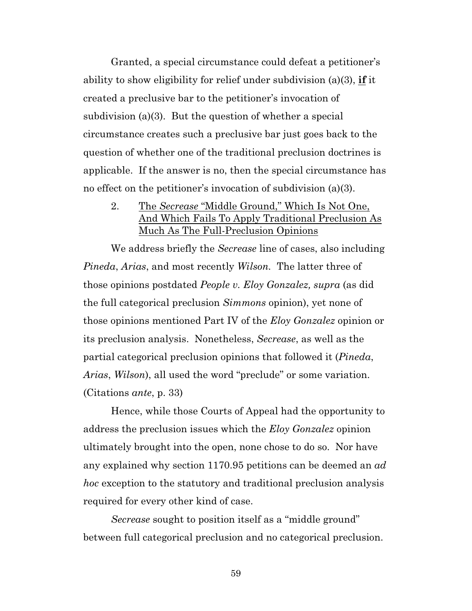Granted, a special circumstance could defeat a petitioner's ability to show eligibility for relief under subdivision (a)(3), **if** it created a preclusive bar to the petitioner's invocation of subdivision (a)(3). But the question of whether a special circumstance creates such a preclusive bar just goes back to the question of whether one of the traditional preclusion doctrines is applicable. If the answer is no, then the special circumstance has no effect on the petitioner's invocation of subdivision (a)(3).

2. The *Secrease* "Middle Ground," Which Is Not One, And Which Fails To Apply Traditional Preclusion As Much As The Full-Preclusion Opinions

We address briefly the *Secrease* line of cases, also including *Pineda*, *Arias*, and most recently *Wilson.* The latter three of those opinions postdated *People v. Eloy Gonzalez, supra* (as did the full categorical preclusion *Simmons* opinion), yet none of those opinions mentioned Part IV of the *Eloy Gonzalez* opinion or its preclusion analysis. Nonetheless, *Secrease*, as well as the partial categorical preclusion opinions that followed it (*Pineda*, *Arias*, *Wilson*), all used the word "preclude" or some variation. (Citations *ante*, p. 33)

Hence, while those Courts of Appeal had the opportunity to address the preclusion issues which the *Eloy Gonzalez* opinion ultimately brought into the open, none chose to do so. Nor have any explained why section 1170.95 petitions can be deemed an *ad hoc* exception to the statutory and traditional preclusion analysis required for every other kind of case.

*Secrease* sought to position itself as a "middle ground" between full categorical preclusion and no categorical preclusion.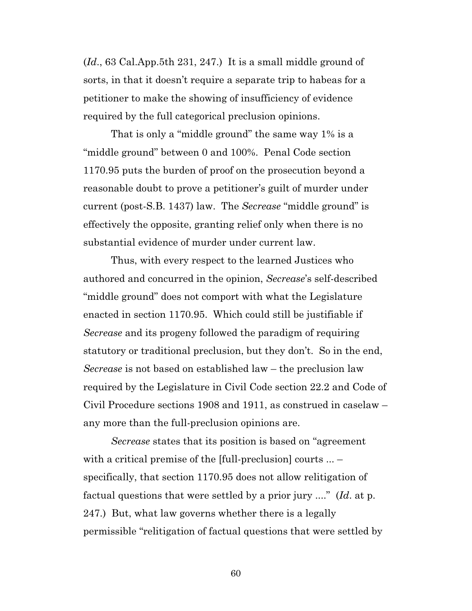(*Id*., 63 Cal.App.5th 231, 247.) It is a small middle ground of sorts, in that it doesn't require a separate trip to habeas for a petitioner to make the showing of insufficiency of evidence required by the full categorical preclusion opinions.

That is only a "middle ground" the same way 1% is a "middle ground" between 0 and 100%. Penal Code section 1170.95 puts the burden of proof on the prosecution beyond a reasonable doubt to prove a petitioner's guilt of murder under current (post-S.B. 1437) law. The *Secrease* "middle ground" is effectively the opposite, granting relief only when there is no substantial evidence of murder under current law.

Thus, with every respect to the learned Justices who authored and concurred in the opinion, *Secrease*'s self-described "middle ground" does not comport with what the Legislature enacted in section 1170.95. Which could still be justifiable if *Secrease* and its progeny followed the paradigm of requiring statutory or traditional preclusion, but they don't. So in the end, *Secrease* is not based on established law – the preclusion law required by the Legislature in Civil Code section 22.2 and Code of Civil Procedure sections 1908 and 1911, as construed in caselaw – any more than the full-preclusion opinions are.

*Secrease* states that its position is based on "agreement with a critical premise of the [full-preclusion] courts ... – specifically, that section 1170.95 does not allow relitigation of factual questions that were settled by a prior jury ...." (*Id*. at p. 247.) But, what law governs whether there is a legally permissible "relitigation of factual questions that were settled by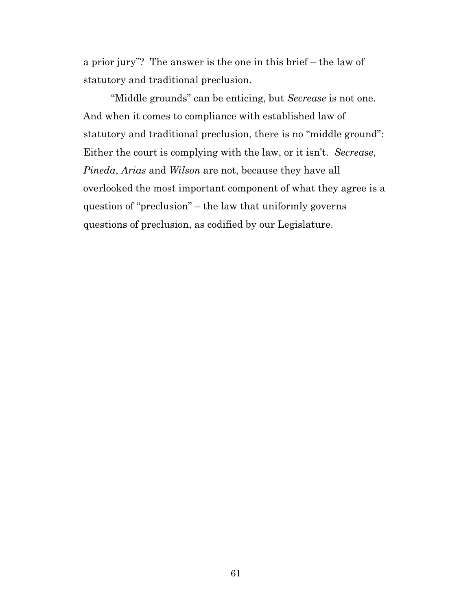a prior jury"? The answer is the one in this brief – the law of statutory and traditional preclusion.

"Middle grounds" can be enticing, but *Secrease* is not one. And when it comes to compliance with established law of statutory and traditional preclusion, there is no "middle ground": Either the court is complying with the law, or it isn't. *Secrease*, *Pineda*, *Arias* and *Wilson* are not, because they have all overlooked the most important component of what they agree is a question of "preclusion" – the law that uniformly governs questions of preclusion, as codified by our Legislature.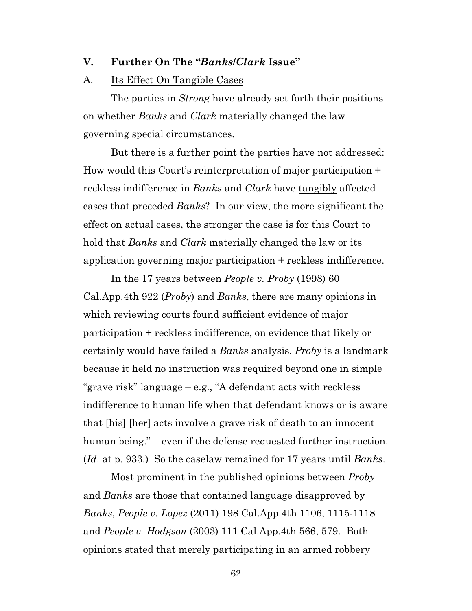#### **V. Further On The "***Banks***/***Clark* **Issue"**

#### A. Its Effect On Tangible Cases

The parties in *Strong* have already set forth their positions on whether *Banks* and *Clark* materially changed the law governing special circumstances.

But there is a further point the parties have not addressed: How would this Court's reinterpretation of major participation + reckless indifference in *Banks* and *Clark* have tangibly affected cases that preceded *Banks*? In our view, the more significant the effect on actual cases, the stronger the case is for this Court to hold that *Banks* and *Clark* materially changed the law or its application governing major participation + reckless indifference.

In the 17 years between *People v. Proby* (1998) 60 Cal.App.4th 922 (*Proby*) and *Banks*, there are many opinions in which reviewing courts found sufficient evidence of major participation + reckless indifference, on evidence that likely or certainly would have failed a *Banks* analysis. *Proby* is a landmark because it held no instruction was required beyond one in simple "grave risk" language – e.g., "A defendant acts with reckless indifference to human life when that defendant knows or is aware that [his] [her] acts involve a grave risk of death to an innocent human being." – even if the defense requested further instruction. (*Id*. at p. 933.) So the caselaw remained for 17 years until *Banks*.

Most prominent in the published opinions between *Proby* and *Banks* are those that contained language disapproved by *Banks*, *People v. Lopez* (2011) 198 Cal.App.4th 1106, 1115-1118 and *People v. Hodgson* (2003) 111 Cal.App.4th 566, 579. Both opinions stated that merely participating in an armed robbery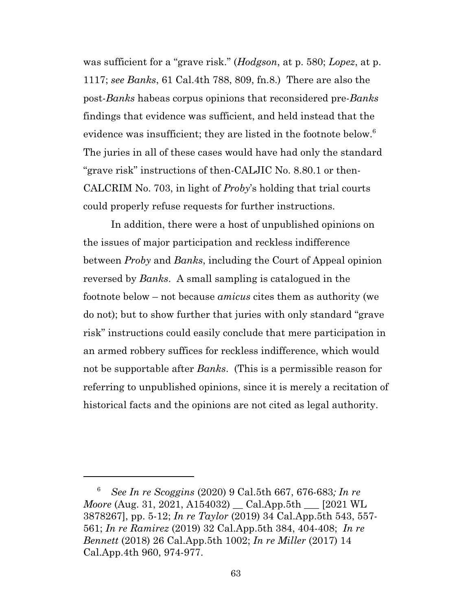was sufficient for a "grave risk." (*Hodgson*, at p. 580; *Lopez*, at p. 1117; *see Banks*, 61 Cal.4th 788, 809, fn.8.) There are also the post-*Banks* habeas corpus opinions that reconsidered pre-*Banks* findings that evidence was sufficient, and held instead that the evidence was insufficient; they are listed in the footnote below.<sup>6</sup> The juries in all of these cases would have had only the standard "grave risk" instructions of then-CALJIC No. 8.80.1 or then-CALCRIM No. 703, in light of *Proby*'s holding that trial courts could properly refuse requests for further instructions.

In addition, there were a host of unpublished opinions on the issues of major participation and reckless indifference between *Proby* and *Banks*, including the Court of Appeal opinion reversed by *Banks*. A small sampling is catalogued in the footnote below – not because *amicus* cites them as authority (we do not); but to show further that juries with only standard "grave risk" instructions could easily conclude that mere participation in an armed robbery suffices for reckless indifference, which would not be supportable after *Banks*. (This is a permissible reason for referring to unpublished opinions, since it is merely a recitation of historical facts and the opinions are not cited as legal authority.

<sup>6</sup> *See In re Scoggins* (2020) 9 Cal.5th 667, 676-683*; In re Moore* (Aug. 31, 2021, A154032) \_\_ Cal.App.5th \_\_\_ [2021 WL 3878267], pp. 5-12; *In re Taylor* (2019) 34 Cal.App.5th 543, 557- 561; *In re Ramirez* (2019) 32 Cal.App.5th 384, 404-408; *In re Bennett* (2018) 26 Cal.App.5th 1002; *In re Miller* (2017) 14 Cal.App.4th 960, 974-977.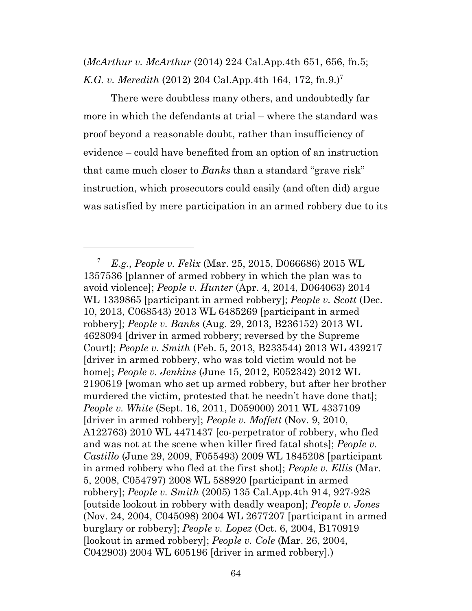(*McArthur v. McArthur* (2014) 224 Cal.App.4th 651, 656, fn.5; *K.G. v. Meredith* (2012) 204 Cal.App.4th 164, 172, fn.9.)<sup>7</sup>

There were doubtless many others, and undoubtedly far more in which the defendants at trial – where the standard was proof beyond a reasonable doubt, rather than insufficiency of evidence – could have benefited from an option of an instruction that came much closer to *Banks* than a standard "grave risk" instruction, which prosecutors could easily (and often did) argue was satisfied by mere participation in an armed robbery due to its

<sup>7</sup> *E.g., People v. Felix* (Mar. 25, 2015, D066686) 2015 WL 1357536 [planner of armed robbery in which the plan was to avoid violence]; *People v. Hunter* (Apr. 4, 2014, D064063) 2014 WL 1339865 [participant in armed robbery]; *People v. Scott* (Dec. 10, 2013, C068543) 2013 WL 6485269 [participant in armed robbery]; *People v. Banks* (Aug. 29, 2013, B236152) 2013 WL 4628094 [driver in armed robbery; reversed by the Supreme Court]; *People v. Smith* (Feb. 5, 2013, B233544) 2013 WL 439217 [driver in armed robbery, who was told victim would not be home]; *People v. Jenkins* (June 15, 2012, E052342) 2012 WL 2190619 [woman who set up armed robbery, but after her brother murdered the victim, protested that he needn't have done that]; *People v. White* (Sept. 16, 2011, D059000) 2011 WL 4337109 [driver in armed robbery]; *People v. Moffett* (Nov. 9, 2010, A122763) 2010 WL 4471437 [co-perpetrator of robbery, who fled and was not at the scene when killer fired fatal shots]; *People v. Castillo* (June 29, 2009, F055493) 2009 WL 1845208 [participant in armed robbery who fled at the first shot]; *People v. Ellis* (Mar. 5, 2008, C054797) 2008 WL 588920 [participant in armed robbery]; *People v. Smith* (2005) 135 Cal.App.4th 914, 927-928 [outside lookout in robbery with deadly weapon]; *People v. Jones* (Nov. 24, 2004, C045098) 2004 WL 2677207 [participant in armed burglary or robbery]; *People v. Lopez* (Oct. 6, 2004, B170919 [lookout in armed robbery]; *People v. Cole* (Mar. 26, 2004, C042903) 2004 WL 605196 [driver in armed robbery].)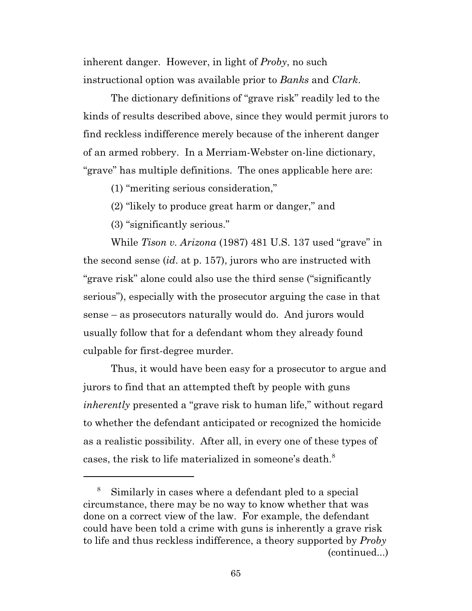inherent danger. However, in light of *Proby*, no such instructional option was available prior to *Banks* and *Clark*.

The dictionary definitions of "grave risk" readily led to the kinds of results described above, since they would permit jurors to find reckless indifference merely because of the inherent danger of an armed robbery. In a Merriam-Webster on-line dictionary, "grave" has multiple definitions. The ones applicable here are:

(1) "meriting serious consideration,"

(2) "likely to produce great harm or danger," and

(3) "significantly serious."

While *Tison v. Arizona* (1987) 481 U.S. 137 used "grave" in the second sense (*id*. at p. 157), jurors who are instructed with "grave risk" alone could also use the third sense ("significantly serious"), especially with the prosecutor arguing the case in that sense – as prosecutors naturally would do. And jurors would usually follow that for a defendant whom they already found culpable for first-degree murder.

Thus, it would have been easy for a prosecutor to argue and jurors to find that an attempted theft by people with guns *inherently* presented a "grave risk to human life," without regard to whether the defendant anticipated or recognized the homicide as a realistic possibility. After all, in every one of these types of cases, the risk to life materialized in someone's death.<sup>8</sup>

<sup>8</sup> Similarly in cases where a defendant pled to a special circumstance, there may be no way to know whether that was done on a correct view of the law. For example, the defendant could have been told a crime with guns is inherently a grave risk to life and thus reckless indifference, a theory supported by *Proby* (continued...)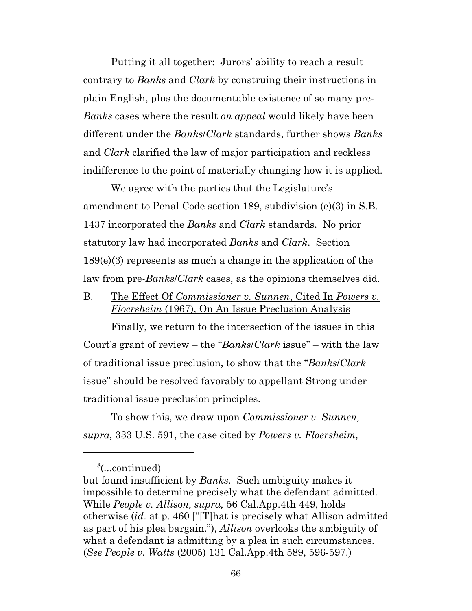Putting it all together: Jurors' ability to reach a result contrary to *Banks* and *Clark* by construing their instructions in plain English, plus the documentable existence of so many pre-*Banks* cases where the result *on appeal* would likely have been different under the *Banks*/*Clark* standards, further shows *Banks* and *Clark* clarified the law of major participation and reckless indifference to the point of materially changing how it is applied.

We agree with the parties that the Legislature's amendment to Penal Code section 189, subdivision (e)(3) in S.B. 1437 incorporated the *Banks* and *Clark* standards. No prior statutory law had incorporated *Banks* and *Clark*. Section 189(e)(3) represents as much a change in the application of the law from pre-*Banks*/*Clark* cases, as the opinions themselves did.

B. The Effect Of *Commissioner v. Sunnen*, Cited In *Powers v. Floersheim* (1967), On An Issue Preclusion Analysis

Finally, we return to the intersection of the issues in this Court's grant of review – the "*Banks*/*Clark* issue" – with the law of traditional issue preclusion, to show that the "*Banks*/*Clark* issue" should be resolved favorably to appellant Strong under traditional issue preclusion principles.

To show this, we draw upon *Commissioner v. Sunnen, supra,* 333 U.S. 591, the case cited by *Powers v. Floersheim,*

<sup>8</sup> (...continued)

but found insufficient by *Banks*. Such ambiguity makes it impossible to determine precisely what the defendant admitted. While *People v. Allison, supra,* 56 Cal.App.4th 449, holds otherwise (*id*. at p. 460 ["[T]hat is precisely what Allison admitted as part of his plea bargain."), *Allison* overlooks the ambiguity of what a defendant is admitting by a plea in such circumstances. (*See People v. Watts* (2005) 131 Cal.App.4th 589, 596-597.)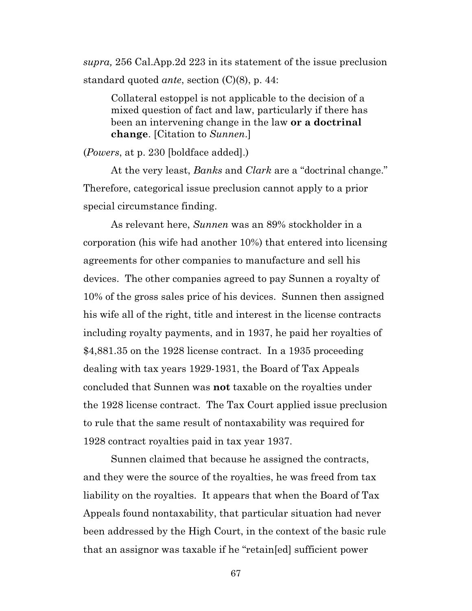*supra,* 256 Cal.App.2d 223 in its statement of the issue preclusion standard quoted *ante*, section (C)(8), p. 44:

Collateral estoppel is not applicable to the decision of a mixed question of fact and law, particularly if there has been an intervening change in the law **or a doctrinal change**. [Citation to *Sunnen*.]

(*Powers*, at p. 230 [boldface added].)

At the very least, *Banks* and *Clark* are a "doctrinal change." Therefore, categorical issue preclusion cannot apply to a prior special circumstance finding.

As relevant here, *Sunnen* was an 89% stockholder in a corporation (his wife had another 10%) that entered into licensing agreements for other companies to manufacture and sell his devices. The other companies agreed to pay Sunnen a royalty of 10% of the gross sales price of his devices. Sunnen then assigned his wife all of the right, title and interest in the license contracts including royalty payments, and in 1937, he paid her royalties of \$4,881.35 on the 1928 license contract. In a 1935 proceeding dealing with tax years 1929-1931, the Board of Tax Appeals concluded that Sunnen was **not** taxable on the royalties under the 1928 license contract. The Tax Court applied issue preclusion to rule that the same result of nontaxability was required for 1928 contract royalties paid in tax year 1937.

Sunnen claimed that because he assigned the contracts, and they were the source of the royalties, he was freed from tax liability on the royalties. It appears that when the Board of Tax Appeals found nontaxability, that particular situation had never been addressed by the High Court, in the context of the basic rule that an assignor was taxable if he "retain[ed] sufficient power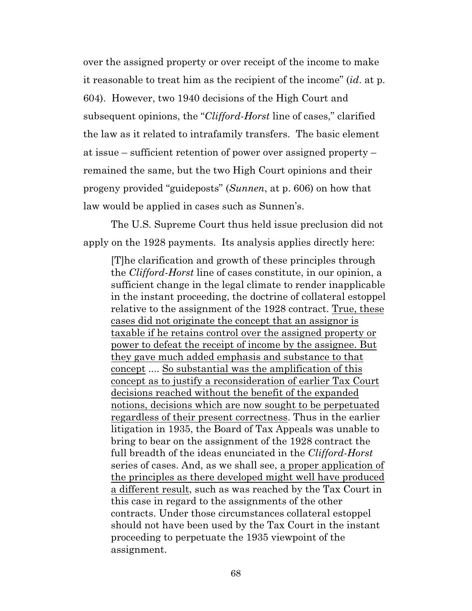over the assigned property or over receipt of the income to make it reasonable to treat him as the recipient of the income" (*id*. at p. 604). However, two 1940 decisions of the High Court and subsequent opinions, the "*Clifford*-*Horst* line of cases," clarified the law as it related to intrafamily transfers. The basic element at issue – sufficient retention of power over assigned property – remained the same, but the two High Court opinions and their progeny provided "guideposts" (*Sunnen*, at p. 606) on how that law would be applied in cases such as Sunnen's.

The U.S. Supreme Court thus held issue preclusion did not apply on the 1928 payments. Its analysis applies directly here:

[T]he clarification and growth of these principles through the *Clifford*-*Horst* line of cases constitute, in our opinion, a sufficient change in the legal climate to render inapplicable in the instant proceeding, the doctrine of collateral estoppel relative to the assignment of the 1928 contract. True, these cases did not originate the concept that an assignor is taxable if he retains control over the assigned property or power to defeat the receipt of income by the assignee. But they gave much added emphasis and substance to that concept .... So substantial was the amplification of this concept as to justify a reconsideration of earlier Tax Court decisions reached without the benefit of the expanded notions, decisions which are now sought to be perpetuated regardless of their present correctness. Thus in the earlier litigation in 1935, the Board of Tax Appeals was unable to bring to bear on the assignment of the 1928 contract the full breadth of the ideas enunciated in the *Clifford*-*Horst* series of cases. And, as we shall see, a proper application of the principles as there developed might well have produced a different result, such as was reached by the Tax Court in this case in regard to the assignments of the other contracts. Under those circumstances collateral estoppel should not have been used by the Tax Court in the instant proceeding to perpetuate the 1935 viewpoint of the assignment.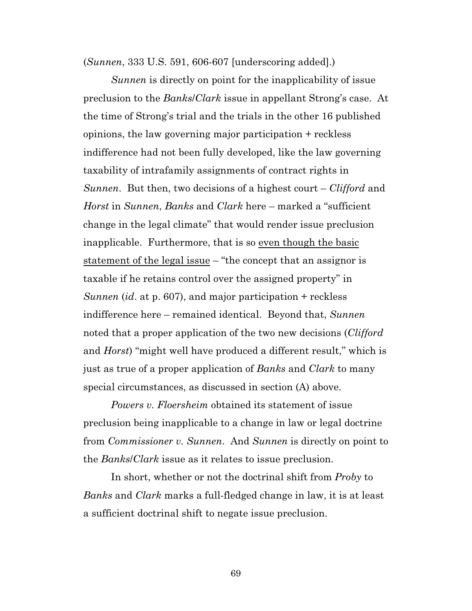(*Sunnen*, 333 U.S. 591, 606-607 [underscoring added].)

*Sunnen* is directly on point for the inapplicability of issue preclusion to the *Banks*/*Clark* issue in appellant Strong's case. At the time of Strong's trial and the trials in the other 16 published opinions, the law governing major participation + reckless indifference had not been fully developed, like the law governing taxability of intrafamily assignments of contract rights in *Sunnen*. But then, two decisions of a highest court – *Clifford* and *Horst* in *Sunnen*, *Banks* and *Clark* here – marked a "sufficient change in the legal climate" that would render issue preclusion inapplicable. Furthermore, that is so even though the basic statement of the legal issue – "the concept that an assignor is taxable if he retains control over the assigned property" in *Sunnen* (*id*. at p. 607), and major participation + reckless indifference here – remained identical. Beyond that, *Sunnen* noted that a proper application of the two new decisions (*Clifford* and *Horst*) "might well have produced a different result," which is just as true of a proper application of *Banks* and *Clark* to many special circumstances, as discussed in section (A) above.

*Powers v. Floersheim* obtained its statement of issue preclusion being inapplicable to a change in law or legal doctrine from *Commissioner v. Sunnen*. And *Sunnen* is directly on point to the *Banks*/*Clark* issue as it relates to issue preclusion.

In short, whether or not the doctrinal shift from *Proby* to *Banks* and *Clark* marks a full-fledged change in law, it is at least a sufficient doctrinal shift to negate issue preclusion.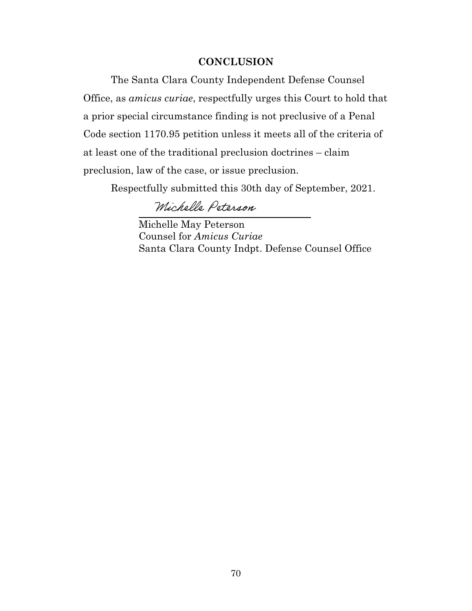## **CONCLUSION**

The Santa Clara County Independent Defense Counsel Office, as *amicus curiae*, respectfully urges this Court to hold that a prior special circumstance finding is not preclusive of a Penal Code section 1170.95 petition unless it meets all of the criteria of at least one of the traditional preclusion doctrines – claim preclusion, law of the case, or issue preclusion.

Respectfully submitted this 30th day of September, 2021.

Michelle Peterson

Michelle May Peterson Counsel for *Amicus Curiae* Santa Clara County Indpt. Defense Counsel Office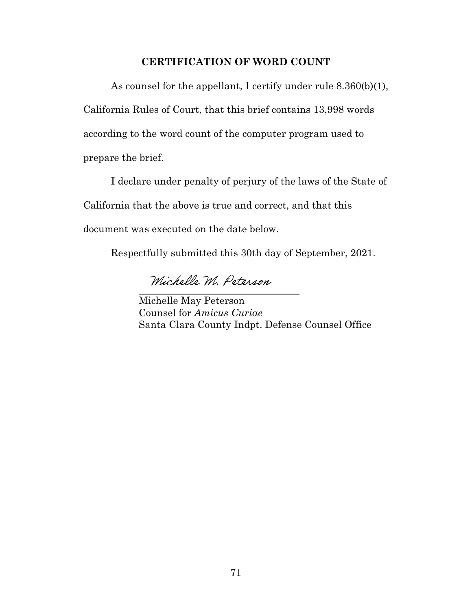## **CERTIFICATION OF WORD COUNT**

As counsel for the appellant, I certify under rule 8.360(b)(1), California Rules of Court, that this brief contains 13,998 words according to the word count of the computer program used to prepare the brief.

I declare under penalty of perjury of the laws of the State of California that the above is true and correct, and that this

document was executed on the date below.

 $\ddot{ }$ 

Respectfully submitted this 30th day of September, 2021.

Michelle M. Peterson

Michelle May Peterson Counsel for *Amicus Curiae* Santa Clara County Indpt. Defense Counsel Office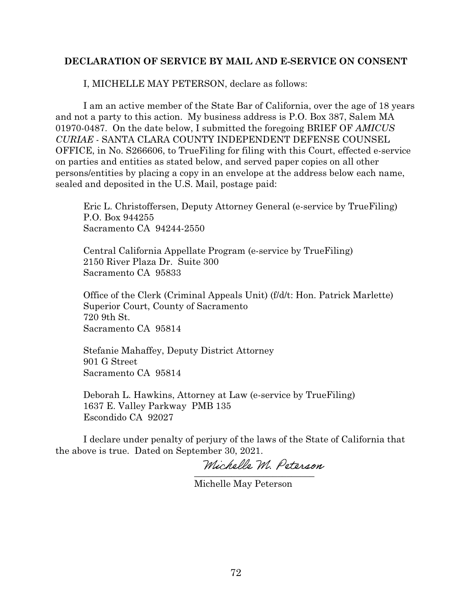## **DECLARATION OF SERVICE BY MAIL AND E-SERVICE ON CONSENT**

I, MICHELLE MAY PETERSON, declare as follows:

I am an active member of the State Bar of California, over the age of 18 years and not a party to this action. My business address is P.O. Box 387, Salem MA 01970-0487. On the date below, I submitted the foregoing BRIEF OF *AMICUS CURIAE* - SANTA CLARA COUNTY INDEPENDENT DEFENSE COUNSEL OFFICE, in No. S266606, to TrueFiling for filing with this Court, effected e-service on parties and entities as stated below, and served paper copies on all other persons/entities by placing a copy in an envelope at the address below each name, sealed and deposited in the U.S. Mail, postage paid:

Eric L. Christoffersen, Deputy Attorney General (e-service by TrueFiling) P.O. Box 944255 Sacramento CA 94244-2550

Central California Appellate Program (e-service by TrueFiling) 2150 River Plaza Dr. Suite 300 Sacramento CA 95833

Office of the Clerk (Criminal Appeals Unit) (f/d/t: Hon. Patrick Marlette) Superior Court, County of Sacramento 720 9th St. Sacramento CA 95814

Stefanie Mahaffey, Deputy District Attorney 901 G Street Sacramento CA 95814

Deborah L. Hawkins, Attorney at Law (e-service by TrueFiling) 1637 E. Valley Parkway PMB 135 Escondido CA 92027

I declare under penalty of perjury of the laws of the State of California that the above is true. Dated on September 30, 2021.

\_\_\_\_\_\_\_\_\_\_\_\_\_\_\_\_\_\_\_\_\_\_\_\_\_\_

Michelle May Peterson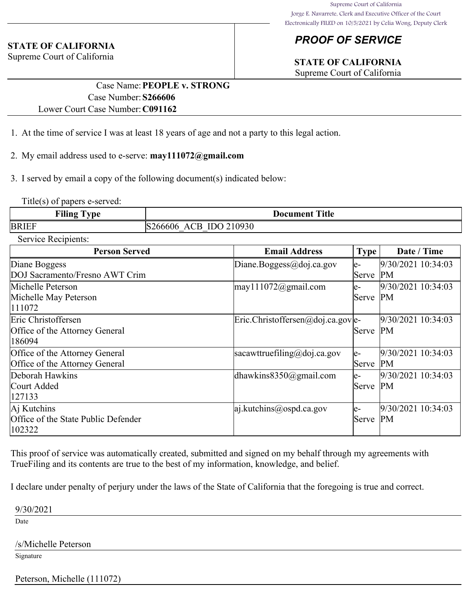## *PROOF OF SERVICE*

# **STATE OF CALIFORNIA**

Supreme Court of California

#### **STATE OF CALIFORNIA**

Supreme Court of California

## Case Name:**PEOPLE v. STRONG** Case Number:**S266606** Lower Court Case Number:**C091162**

- 1. At the time of service I was at least 18 years of age and not a party to this legal action.
- 2. My email address used to e-serve: **may111072@gmail.com**
- 3. I served by email a copy of the following document(s) indicated below:

Title(s) of papers e-served:

| <b>Filing Type</b>  | <b>Document Title</b>  |
|---------------------|------------------------|
| BRIEF               | S266606 ACB IDO 210930 |
| Service Recipients: |                        |

| <b>Person Served</b>                | <b>Email Address</b>              | Type <sup>1</sup> | Date / Time        |
|-------------------------------------|-----------------------------------|-------------------|--------------------|
| Diane Boggess                       | Diane.Boggess@doj.ca.gov          | $e-$              | 9/30/2021 10:34:03 |
| DOJ Sacramento/Fresno AWT Crim      |                                   | Serve             | <b>PM</b>          |
| Michelle Peterson                   | $\text{may} 111072$ @gmail.com    | $e-$              | 9/30/2021 10:34:03 |
| Michelle May Peterson               |                                   | Serve             | PM                 |
| 111072                              |                                   |                   |                    |
| Eric Christoffersen                 | Eric.Christoffersen@doj.ca.gov e- |                   | 9/30/2021 10:34:03 |
| Office of the Attorney General      |                                   | Serve PM          |                    |
| 186094                              |                                   |                   |                    |
| Office of the Attorney General      | sacawttruefiling@doj.ca.gov       | $e-$              | 9/30/2021 10:34:03 |
| Office of the Attorney General      |                                   | Serve             | <b>PM</b>          |
| Deborah Hawkins                     | dhawkins $8350$ @gmail.com        | $e-$              | 9/30/2021 10:34:03 |
| Court Added                         |                                   | Serve             | PM                 |
| 127133                              |                                   |                   |                    |
| Aj Kutchins                         | $ a $ .kutchins@ospd.ca.gov       | $e-$              | 9/30/2021 10:34:03 |
| Office of the State Public Defender |                                   | Serve             | <b>PM</b>          |
| 102322                              |                                   |                   |                    |

This proof of service was automatically created, submitted and signed on my behalf through my agreements with TrueFiling and its contents are true to the best of my information, knowledge, and belief.

I declare under penalty of perjury under the laws of the State of California that the foregoing is true and correct.

9/30/2021

Date

/s/Michelle Peterson

Signature

Peterson, Michelle (111072)